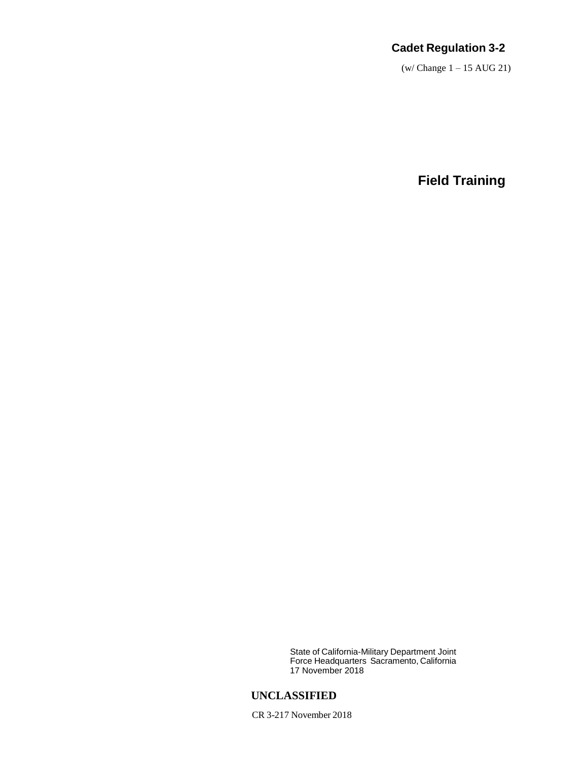# **Cadet Regulation 3-2**

(w/ Change 1 – 15 AUG 21)

**Field Training**

State of California-Military Department Joint Force Headquarters Sacramento, California 17 November 2018

## **UNCLASSIFIED**

CR 3-217 November 2018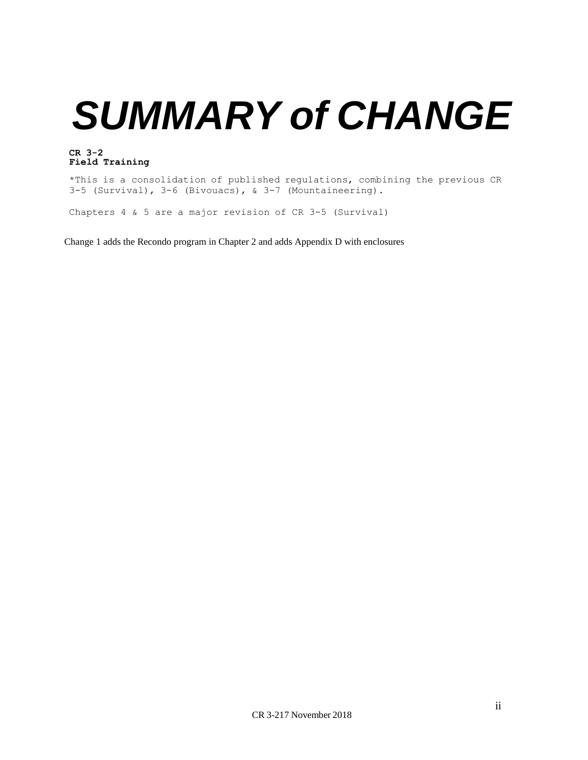# *SUMMARY of CHANGE*

#### **CR 3-2 Field Training**

\*This is a consolidation of published regulations, combining the previous CR 3-5 (Survival), 3-6 (Bivouacs), & 3-7 (Mountaineering).

Chapters 4 & 5 are a major revision of CR 3-5 (Survival)

Change 1 adds the Recondo program in Chapter 2 and adds Appendix D with enclosures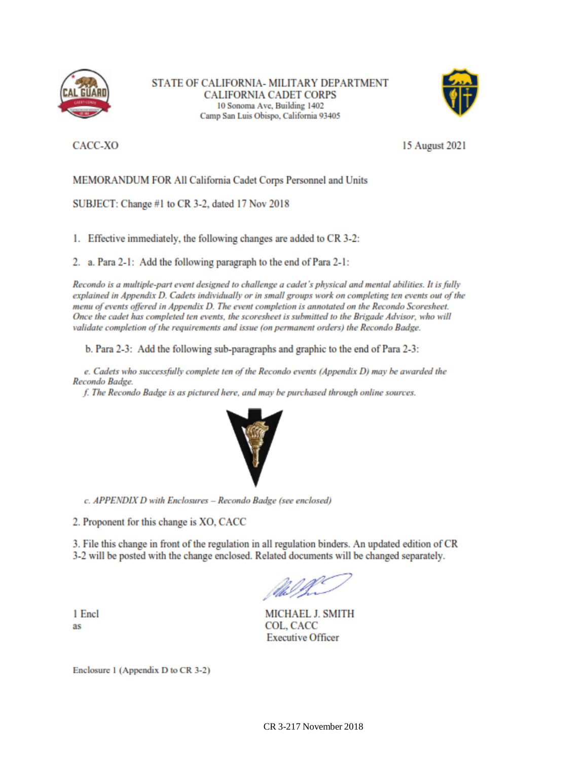

STATE OF CALIFORNIA- MILITARY DEPARTMENT **CALIFORNIA CADET CORPS** 10 Sonoma Ave, Building 1402 Camp San Luis Obispo, California 93405



CACC-XO

15 August 2021

MEMORANDUM FOR All California Cadet Corps Personnel and Units

SUBJECT: Change #1 to CR 3-2, dated 17 Nov 2018

1. Effective immediately, the following changes are added to CR 3-2:

2. a. Para 2-1: Add the following paragraph to the end of Para 2-1:

Recondo is a multiple-part event designed to challenge a cadet's physical and mental abilities. It is fully explained in Appendix D. Cadets individually or in small groups work on completing ten events out of the menu of events offered in Appendix D. The event completion is annotated on the Recondo Scoresheet. Once the cadet has completed ten events, the scoresheet is submitted to the Brigade Advisor, who will validate completion of the requirements and issue (on permanent orders) the Recondo Badge.

b. Para 2-3: Add the following sub-paragraphs and graphic to the end of Para 2-3:

e. Cadets who successfully complete ten of the Recondo events (Appendix D) may be awarded the Recondo Badge.

f. The Recondo Badge is as pictured here, and may be purchased through online sources.



c. APPENDIX D with Enclosures - Recondo Badge (see enclosed)

2. Proponent for this change is XO, CACC

3. File this change in front of the regulation in all regulation binders. An updated edition of CR 3-2 will be posted with the change enclosed. Related documents will be changed separately.

1 Encl as

MICHAEL J. SMITH COL, CACC **Executive Officer** 

Enclosure 1 (Appendix D to CR 3-2)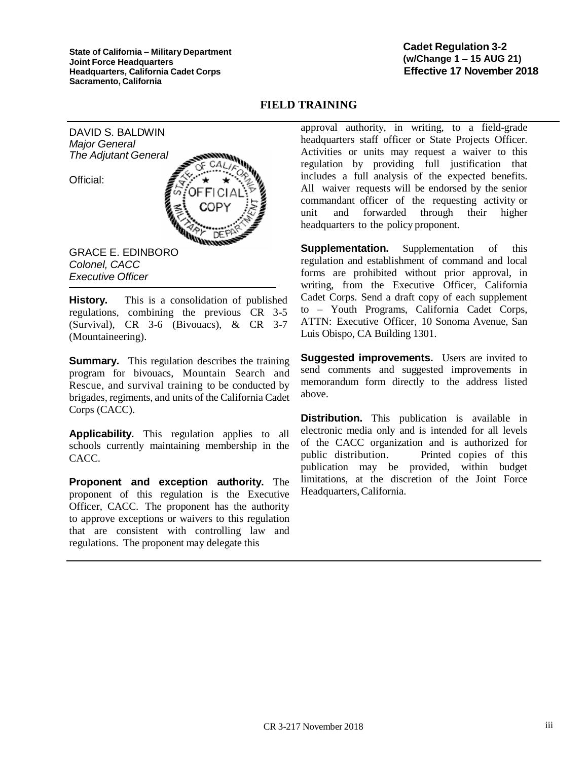**State of California – Military Department Joint Force Headquarters Headquarters, California Cadet Corps Sacramento, California**

#### **Cadet Regulation 3-2 (w/Change 1 – 15 AUG 21) Effective 17 November 2018**

#### **FIELD TRAINING**

DAVID S. BALDWIN *Major General The Adjutant General*

Official:



*Colonel, CACC Executive Officer* **History.** This is a consolidation of published

regulations, combining the previous CR 3-5 (Survival), CR 3-6 (Bivouacs), & CR 3-7 (Mountaineering).

**Summary.** This regulation describes the training program for bivouacs, Mountain Search and Rescue, and survival training to be conducted by brigades, regiments, and units of the California Cadet Corps (CACC).

**Applicability.** This regulation applies to all schools currently maintaining membership in the CACC.

**Proponent and exception authority.** The proponent of this regulation is the Executive Officer, CACC. The proponent has the authority to approve exceptions or waivers to this regulation that are consistent with controlling law and regulations. The proponent may delegate this

approval authority, in writing, to a field-grade headquarters staff officer or State Projects Officer. Activities or units may request a waiver to this regulation by providing full justification that includes a full analysis of the expected benefits. All waiver requests will be endorsed by the senior commandant officer of the requesting activity or unit and forwarded through their higher headquarters to the policy proponent.

**Supplementation.** Supplementation of this regulation and establishment of command and local forms are prohibited without prior approval, in writing, from the Executive Officer, California Cadet Corps. Send a draft copy of each supplement to – Youth Programs, California Cadet Corps, ATTN: Executive Officer, 10 Sonoma Avenue, San Luis Obispo, CA Building 1301.

**Suggested improvements.** Users are invited to send comments and suggested improvements in memorandum form directly to the address listed above.

**Distribution.** This publication is available in electronic media only and is intended for all levels of the CACC organization and is authorized for public distribution. Printed copies of this publication may be provided, within budget limitations, at the discretion of the Joint Force Headquarters, California.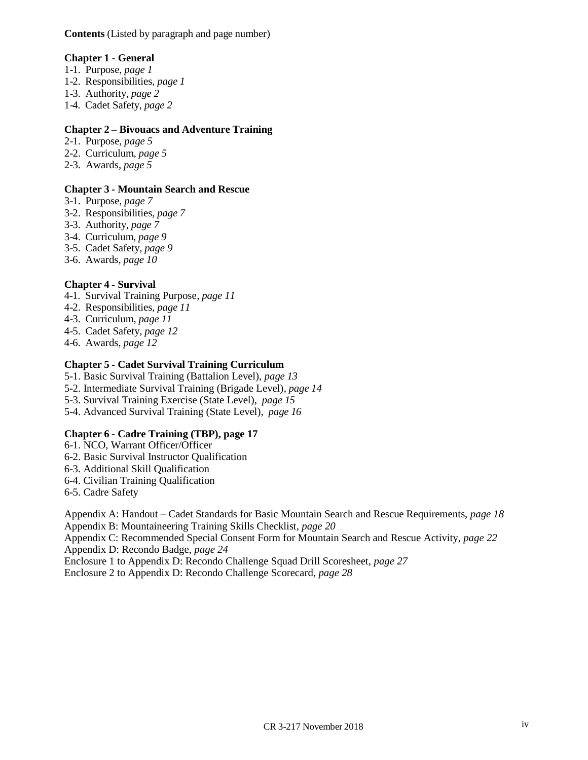**Contents** (Listed by paragraph and page number)

#### **Chapter 1 - General**

- 1-1. Purpose, *page 1*
- 1-2. Responsibilities, *page 1*
- 1-3. Authority, *page 2*
- 1-4. Cadet Safety, *page 2*

#### **Chapter 2 – Bivouacs and Adventure Training**

- 2-1. Purpose, *page 5*
- 2-2. Curriculum, *page 5*
- 2-3. Awards, *page 5*

#### **Chapter 3 - Mountain Search and Rescue**

- 3-1. Purpose, *page 7*
- 3-2. Responsibilities, *page 7*
- 3-3. Authority, *page 7*
- 3-4. Curriculum, *page 9*
- 3-5. Cadet Safety, *page 9*
- 3-6. Awards, *page 10*

#### **Chapter 4 - Survival**

- 4-1. Survival Training Purpose, *page 11*
- 4-2. Responsibilities, *page 11*
- 4-3. Curriculum, *page 11*
- 4-5. Cadet Safety, *page 12*
- 4-6. Awards, *page 12*

#### **Chapter 5 - Cadet Survival Training Curriculum**

- 5-1. Basic Survival Training (Battalion Level), *page 13*
- 5-2. Intermediate Survival Training (Brigade Level), *page 14*
- 5-3. Survival Training Exercise (State Level), *page 15*
- 5-4. Advanced Survival Training (State Level), *page 16*

#### **Chapter 6 - Cadre Training (TBP), page 17**

- 6-1. NCO, Warrant Officer/Officer
- 6-2. Basic Survival Instructor Qualification
- 6-3. Additional Skill Qualification
- 6-4. Civilian Training Qualification
- 6-5. Cadre Safety

Appendix A: Handout – Cadet Standards for Basic Mountain Search and Rescue Requirements, *page 18* Appendix B: Mountaineering Training Skills Checklist, *page 20* Appendix C: Recommended Special Consent Form for Mountain Search and Rescue Activity, *page 22* Appendix D: Recondo Badge, *page 24* Enclosure 1 to Appendix D: Recondo Challenge Squad Drill Scoresheet, *page 27*

Enclosure 2 to Appendix D: Recondo Challenge Scorecard, *page 28*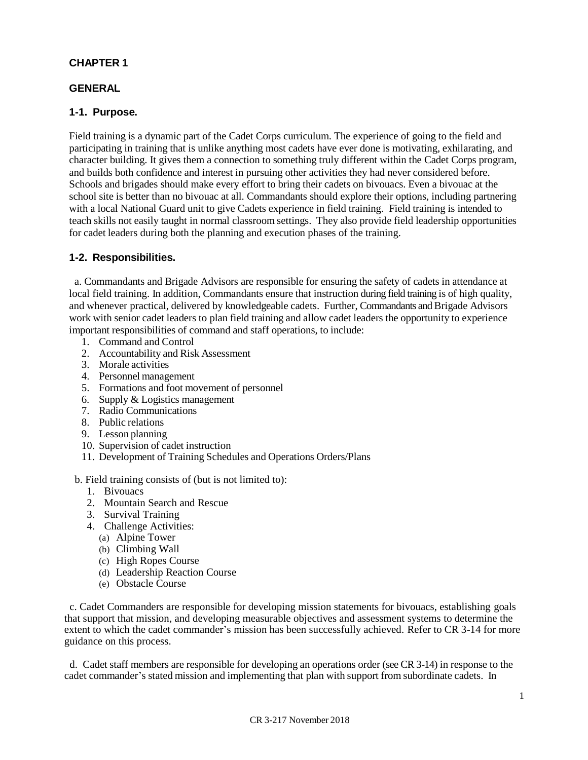#### **CHAPTER 1**

#### **GENERAL**

#### **1-1. Purpose.**

Field training is a dynamic part of the Cadet Corps curriculum. The experience of going to the field and participating in training that is unlike anything most cadets have ever done is motivating, exhilarating, and character building. It gives them a connection to something truly different within the Cadet Corps program, and builds both confidence and interest in pursuing other activities they had never considered before. Schools and brigades should make every effort to bring their cadets on bivouacs. Even a bivouac at the school site is better than no bivouac at all. Commandants should explore their options, including partnering with a local National Guard unit to give Cadets experience in field training. Field training is intended to teach skills not easily taught in normal classroom settings. They also provide field leadership opportunities for cadet leaders during both the planning and execution phases of the training.

#### **1-2. Responsibilities.**

a. Commandants and Brigade Advisors are responsible for ensuring the safety of cadets in attendance at local field training. In addition, Commandants ensure that instruction during field training is of high quality, and whenever practical, delivered by knowledgeable cadets. Further, Commandants and Brigade Advisors work with senior cadet leaders to plan field training and allow cadet leaders the opportunity to experience important responsibilities of command and staff operations, to include:

- 1. Command and Control
- 2. Accountability and Risk Assessment
- 3. Morale activities
- 4. Personnel management
- 5. Formations and foot movement of personnel
- 6. Supply & Logistics management
- 7. Radio Communications
- 8. Public relations
- 9. Lesson planning
- 10. Supervision of cadet instruction
- 11. Development of Training Schedules and Operations Orders/Plans

#### b. Field training consists of (but is not limited to):

- 1. Bivouacs
- 2. Mountain Search and Rescue
- 3. Survival Training
- 4. Challenge Activities:
	- (a) Alpine Tower
	- (b) Climbing Wall
	- (c) High Ropes Course
	- (d) Leadership Reaction Course
	- (e) Obstacle Course

c. Cadet Commanders are responsible for developing mission statements for bivouacs, establishing goals that support that mission, and developing measurable objectives and assessment systems to determine the extent to which the cadet commander's mission has been successfully achieved. Refer to CR 3-14 for more guidance on this process.

d. Cadet staff members are responsible for developing an operations order (see CR 3-14) in response to the cadet commander's stated mission and implementing that plan with support from subordinate cadets. In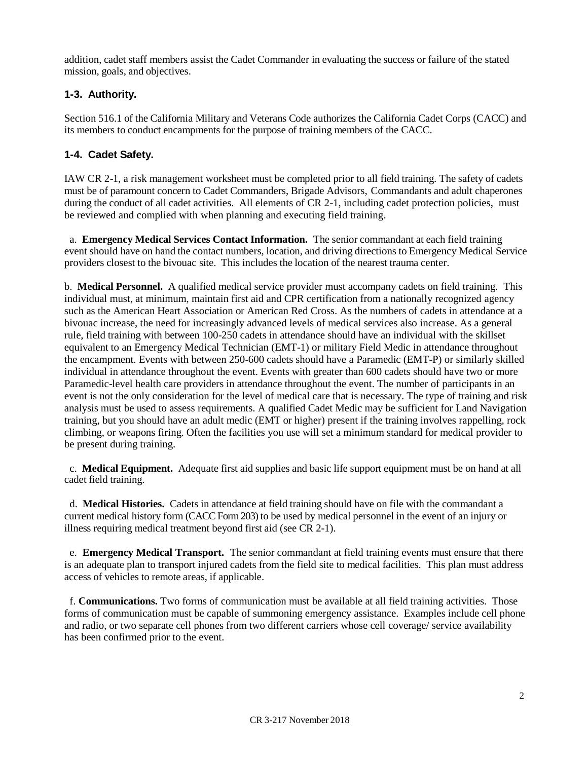addition, cadet staff members assist the Cadet Commander in evaluating the success or failure of the stated mission, goals, and objectives.

## **1-3. Authority.**

Section 516.1 of the California Military and Veterans Code authorizes the California Cadet Corps (CACC) and its members to conduct encampments for the purpose of training members of the CACC.

## **1-4. Cadet Safety.**

IAW CR 2-1, a risk management worksheet must be completed prior to all field training. The safety of cadets must be of paramount concern to Cadet Commanders, Brigade Advisors, Commandants and adult chaperones during the conduct of all cadet activities. All elements of CR 2-1, including cadet protection policies, must be reviewed and complied with when planning and executing field training.

a. **Emergency Medical Services Contact Information.** The senior commandant at each field training event should have on hand the contact numbers, location, and driving directions to Emergency Medical Service providers closest to the bivouac site. This includes the location of the nearest trauma center.

b. **Medical Personnel.** A qualified medical service provider must accompany cadets on field training. This individual must, at minimum, maintain first aid and CPR certification from a nationally recognized agency such as the American Heart Association or American Red Cross. As the numbers of cadets in attendance at a bivouac increase, the need for increasingly advanced levels of medical services also increase. As a general rule, field training with between 100-250 cadets in attendance should have an individual with the skillset equivalent to an Emergency Medical Technician (EMT-1) or military Field Medic in attendance throughout the encampment. Events with between 250-600 cadets should have a Paramedic (EMT-P) or similarly skilled individual in attendance throughout the event. Events with greater than 600 cadets should have two or more Paramedic-level health care providers in attendance throughout the event. The number of participants in an event is not the only consideration for the level of medical care that is necessary. The type of training and risk analysis must be used to assess requirements. A qualified Cadet Medic may be sufficient for Land Navigation training, but you should have an adult medic (EMT or higher) present if the training involves rappelling, rock climbing, or weapons firing. Often the facilities you use will set a minimum standard for medical provider to be present during training.

c. **Medical Equipment.** Adequate first aid supplies and basic life support equipment must be on hand at all cadet field training.

d. **Medical Histories.** Cadets in attendance at field training should have on file with the commandant a current medical history form (CACC Form 203) to be used by medical personnel in the event of an injury or illness requiring medical treatment beyond first aid (see CR 2-1).

e. **Emergency Medical Transport.** The senior commandant at field training events must ensure that there is an adequate plan to transport injured cadets from the field site to medical facilities. This plan must address access of vehicles to remote areas, if applicable.

f. **Communications.** Two forms of communication must be available at all field training activities. Those forms of communication must be capable of summoning emergency assistance. Examples include cell phone and radio, or two separate cell phones from two different carriers whose cell coverage/ service availability has been confirmed prior to the event.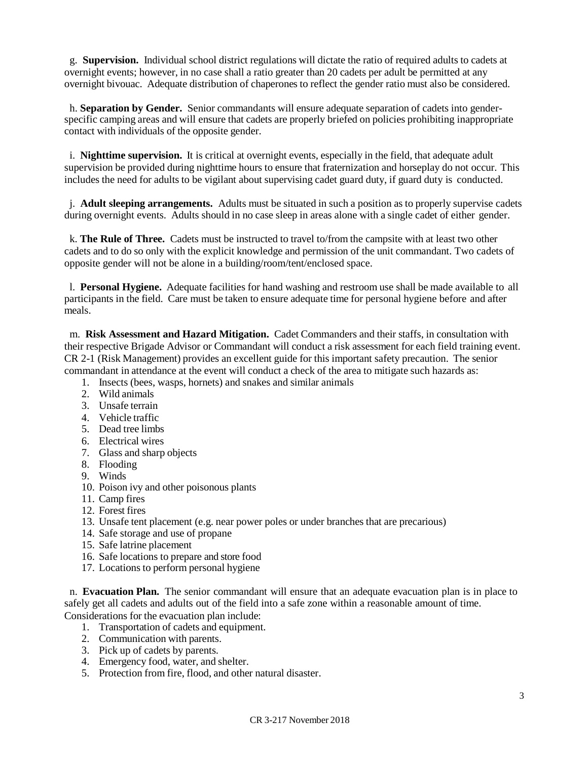g. **Supervision.** Individual school district regulations will dictate the ratio of required adults to cadets at overnight events; however, in no case shall a ratio greater than 20 cadets per adult be permitted at any overnight bivouac. Adequate distribution of chaperones to reflect the gender ratio must also be considered.

h. **Separation by Gender.** Senior commandants will ensure adequate separation of cadets into genderspecific camping areas and will ensure that cadets are properly briefed on policies prohibiting inappropriate contact with individuals of the opposite gender.

i. **Nighttime supervision.** It is critical at overnight events, especially in the field, that adequate adult supervision be provided during nighttime hours to ensure that fraternization and horseplay do not occur. This includes the need for adults to be vigilant about supervising cadet guard duty, if guard duty is conducted.

j. **Adult sleeping arrangements.** Adults must be situated in such a position as to properly supervise cadets during overnight events. Adults should in no case sleep in areas alone with a single cadet of either gender.

k. **The Rule of Three.** Cadets must be instructed to travel to/from the campsite with at least two other cadets and to do so only with the explicit knowledge and permission of the unit commandant. Two cadets of opposite gender will not be alone in a building/room/tent/enclosed space.

l. **Personal Hygiene.** Adequate facilities for hand washing and restroom use shall be made available to all participants in the field. Care must be taken to ensure adequate time for personal hygiene before and after meals.

m. **Risk Assessment and Hazard Mitigation.** Cadet Commanders and their staffs, in consultation with their respective Brigade Advisor or Commandant will conduct a risk assessment for each field training event. CR 2-1 (Risk Management) provides an excellent guide for this important safety precaution. The senior commandant in attendance at the event will conduct a check of the area to mitigate such hazards as:

- 1. Insects (bees, wasps, hornets) and snakes and similar animals
- 2. Wild animals
- 3. Unsafe terrain
- 4. Vehicle traffic
- 5. Dead tree limbs
- 6. Electrical wires
- 7. Glass and sharp objects
- 8. Flooding
- 9. Winds
- 10. Poison ivy and other poisonous plants
- 11. Camp fires
- 12. Forest fires
- 13. Unsafe tent placement (e.g. near power poles or under branches that are precarious)
- 14. Safe storage and use of propane
- 15. Safe latrine placement
- 16. Safe locations to prepare and store food
- 17. Locations to perform personal hygiene

n. **Evacuation Plan.** The senior commandant will ensure that an adequate evacuation plan is in place to safely get all cadets and adults out of the field into a safe zone within a reasonable amount of time. Considerations for the evacuation plan include:

- 1. Transportation of cadets and equipment.
- 2. Communication with parents.
- 3. Pick up of cadets by parents.
- 4. Emergency food, water, and shelter.
- 5. Protection from fire, flood, and other natural disaster.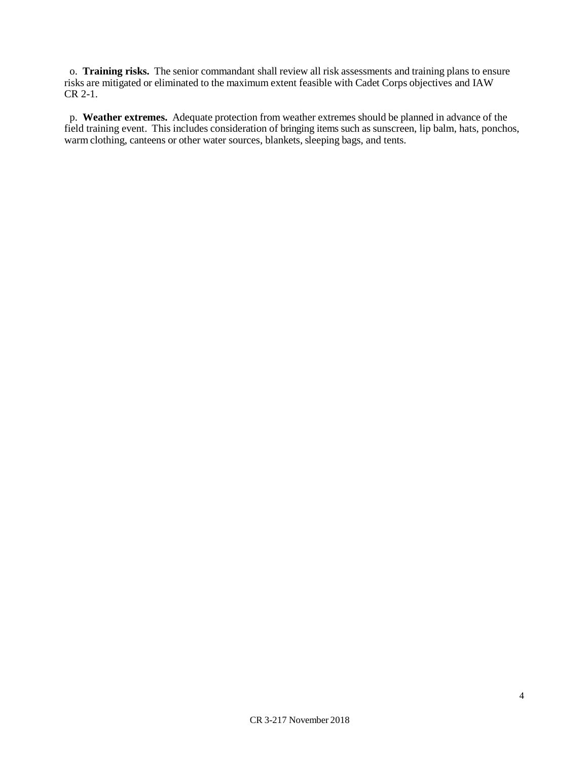o. **Training risks.** The senior commandant shall review all risk assessments and training plans to ensure risks are mitigated or eliminated to the maximum extent feasible with Cadet Corps objectives and IAW CR 2-1.

p. **Weather extremes.** Adequate protection from weather extremes should be planned in advance of the field training event. This includes consideration of bringing items such as sunscreen, lip balm, hats, ponchos, warm clothing, canteens or other water sources, blankets, sleeping bags, and tents.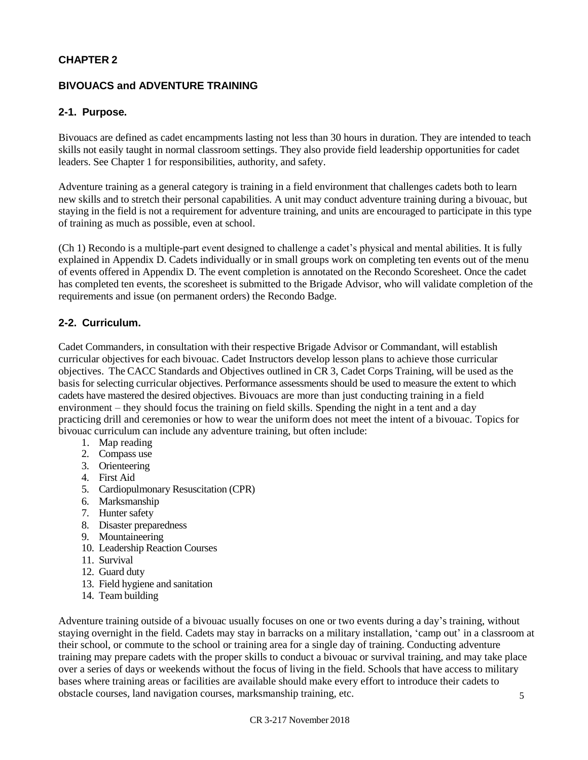## **CHAPTER 2**

## **BIVOUACS and ADVENTURE TRAINING**

#### **2-1. Purpose.**

Bivouacs are defined as cadet encampments lasting not less than 30 hours in duration. They are intended to teach skills not easily taught in normal classroom settings. They also provide field leadership opportunities for cadet leaders. See Chapter 1 for responsibilities, authority, and safety.

Adventure training as a general category is training in a field environment that challenges cadets both to learn new skills and to stretch their personal capabilities. A unit may conduct adventure training during a bivouac, but staying in the field is not a requirement for adventure training, and units are encouraged to participate in this type of training as much as possible, even at school.

(Ch 1) Recondo is a multiple-part event designed to challenge a cadet's physical and mental abilities. It is fully explained in Appendix D. Cadets individually or in small groups work on completing ten events out of the menu of events offered in Appendix D. The event completion is annotated on the Recondo Scoresheet. Once the cadet has completed ten events, the scoresheet is submitted to the Brigade Advisor, who will validate completion of the requirements and issue (on permanent orders) the Recondo Badge.

## **2-2. Curriculum.**

Cadet Commanders, in consultation with their respective Brigade Advisor or Commandant, will establish curricular objectives for each bivouac. Cadet Instructors develop lesson plans to achieve those curricular objectives. The CACC Standards and Objectives outlined in CR 3, Cadet Corps Training, will be used as the basis for selecting curricular objectives. Performance assessments should be used to measure the extent to which cadets have mastered the desired objectives. Bivouacs are more than just conducting training in a field environment – they should focus the training on field skills. Spending the night in a tent and a day practicing drill and ceremonies or how to wear the uniform does not meet the intent of a bivouac. Topics for bivouac curriculum can include any adventure training, but often include:

- 1. Map reading
- 2. Compass use
- 3. Orienteering
- 4. First Aid
- 5. Cardiopulmonary Resuscitation (CPR)
- 6. Marksmanship
- 7. Hunter safety
- 8. Disaster preparedness
- 9. Mountaineering
- 10. Leadership Reaction Courses
- 11. Survival
- 12. Guard duty
- 13. Field hygiene and sanitation
- 14. Team building

5 Adventure training outside of a bivouac usually focuses on one or two events during a day's training, without staying overnight in the field. Cadets may stay in barracks on a military installation, 'camp out' in a classroom at their school, or commute to the school or training area for a single day of training. Conducting adventure training may prepare cadets with the proper skills to conduct a bivouac or survival training, and may take place over a series of days or weekends without the focus of living in the field. Schools that have access to military bases where training areas or facilities are available should make every effort to introduce their cadets to obstacle courses, land navigation courses, marksmanship training, etc.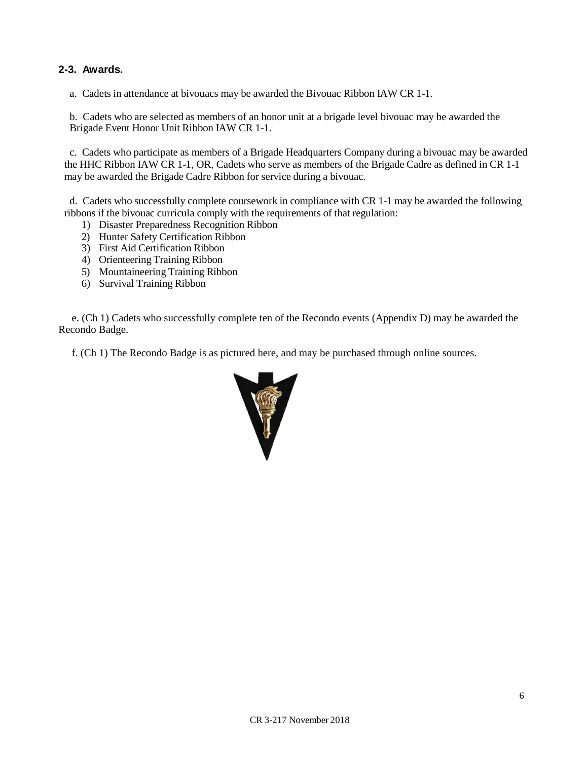## **2-3. Awards.**

a. Cadets in attendance at bivouacs may be awarded the Bivouac Ribbon IAW CR 1-1.

b. Cadets who are selected as members of an honor unit at a brigade level bivouac may be awarded the Brigade Event Honor Unit Ribbon IAW CR 1-1.

c. Cadets who participate as members of a Brigade Headquarters Company during a bivouac may be awarded the HHC Ribbon IAW CR 1-1, OR, Cadets who serve as members of the Brigade Cadre as defined in CR 1-1 may be awarded the Brigade Cadre Ribbon for service during a bivouac.

d. Cadets who successfully complete coursework in compliance with CR 1-1 may be awarded the following ribbons if the bivouac curricula comply with the requirements of that regulation:

- 1) Disaster Preparedness Recognition Ribbon
- 2) Hunter Safety Certification Ribbon
- 3) First Aid Certification Ribbon
- 4) Orienteering Training Ribbon
- 5) Mountaineering Training Ribbon
- 6) Survival Training Ribbon

 e. (Ch 1) Cadets who successfully complete ten of the Recondo events (Appendix D) may be awarded the Recondo Badge.

f. (Ch 1) The Recondo Badge is as pictured here, and may be purchased through online sources.

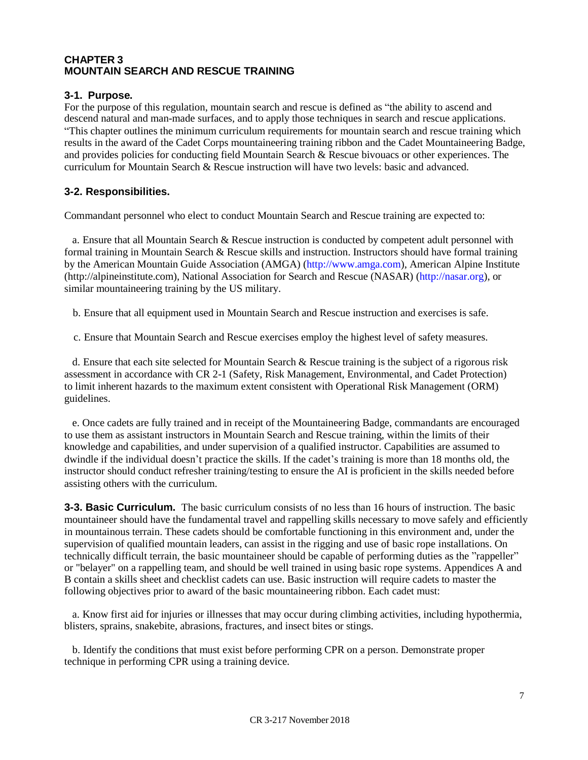#### **CHAPTER 3 MOUNTAIN SEARCH AND RESCUE TRAINING**

#### **3-1. Purpose.**

For the purpose of this regulation, mountain search and rescue is defined as "the ability to ascend and descend natural and man-made surfaces, and to apply those techniques in search and rescue applications. "This chapter outlines the minimum curriculum requirements for mountain search and rescue training which results in the award of the Cadet Corps mountaineering training ribbon and the Cadet Mountaineering Badge, and provides policies for conducting field Mountain Search & Rescue bivouacs or other experiences. The curriculum for Mountain Search & Rescue instruction will have two levels: basic and advanced.

#### **3-2. Responsibilities.**

Commandant personnel who elect to conduct Mountain Search and Rescue training are expected to:

a. Ensure that all Mountain Search & Rescue instruction is conducted by competent adult personnel with formal training in Mountain Search & Rescue skills and instruction. Instructors should have formal training by the American Mountain Guide Association (AMGA) [\(http://www.amga.com\)](http://www.amga.com/), Am[e](http://alpineinstitute.com/)rican Alpine Institute [\(http://alpineinstitute.com](http://alpineinstitute.com/)), National Association for Search and Rescue (NASAR) [\(http://nasar.org\)](http://nasar.org/), or similar mountaineering training by the US military.

- b. Ensure that all equipment used in Mountain Search and Rescue instruction and exercises is safe.
- c. Ensure that Mountain Search and Rescue exercises employ the highest level of safety measures.

d. Ensure that each site selected for Mountain Search & Rescue training is the subject of a rigorous risk assessment in accordance with CR 2-1 (Safety, Risk Management, Environmental, and Cadet Protection) to limit inherent hazards to the maximum extent consistent with Operational Risk Management (ORM) guidelines.

e. Once cadets are fully trained and in receipt of the Mountaineering Badge, commandants are encouraged to use them as assistant instructors in Mountain Search and Rescue training, within the limits of their knowledge and capabilities, and under supervision of a qualified instructor. Capabilities are assumed to dwindle if the individual doesn't practice the skills. If the cadet's training is more than 18 months old, the instructor should conduct refresher training/testing to ensure the AI is proficient in the skills needed before assisting others with the curriculum.

**3-3. Basic Curriculum.** The basic curriculum consists of no less than 16 hours of instruction. The basic mountaineer should have the fundamental travel and rappelling skills necessary to move safely and efficiently in mountainous terrain. These cadets should be comfortable functioning in this environment and, under the supervision of qualified mountain leaders, can assist in the rigging and use of basic rope installations. On technically difficult terrain, the basic mountaineer should be capable of performing duties as the "rappeller" or "belayer" on a rappelling team, and should be well trained in using basic rope systems. Appendices A and B contain a skills sheet and checklist cadets can use. Basic instruction will require cadets to master the following objectives prior to award of the basic mountaineering ribbon. Each cadet must:

a. Know first aid for injuries or illnesses that may occur during climbing activities, including hypothermia, blisters, sprains, snakebite, abrasions, fractures, and insect bites or stings.

b. Identify the conditions that must exist before performing CPR on a person. Demonstrate proper technique in performing CPR using a training device.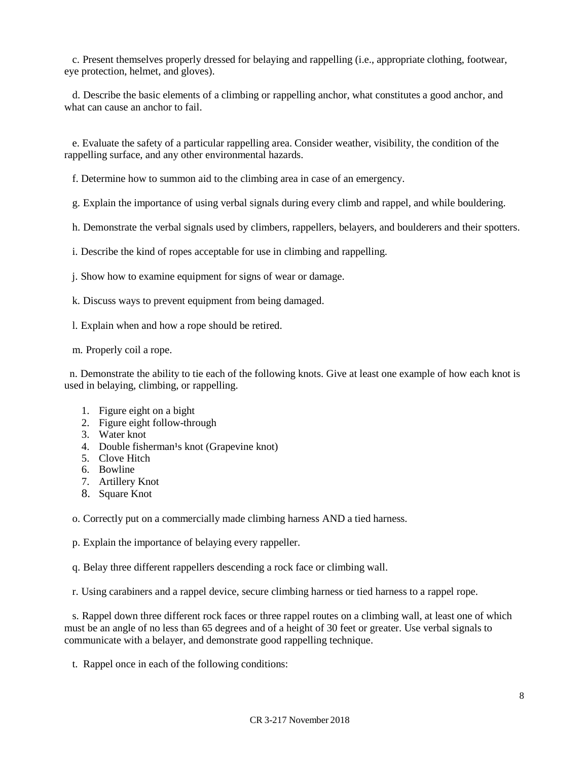c. Present themselves properly dressed for belaying and rappelling (i.e., appropriate clothing, footwear, eye protection, helmet, and gloves).

d. Describe the basic elements of a climbing or rappelling anchor, what constitutes a good anchor, and what can cause an anchor to fail.

e. Evaluate the safety of a particular rappelling area. Consider weather, visibility, the condition of the rappelling surface, and any other environmental hazards.

f. Determine how to summon aid to the climbing area in case of an emergency.

g. Explain the importance of using verbal signals during every climb and rappel, and while bouldering.

h. Demonstrate the verbal signals used by climbers, rappellers, belayers, and boulderers and their spotters.

i. Describe the kind of ropes acceptable for use in climbing and rappelling.

j. Show how to examine equipment for signs of wear or damage.

k. Discuss ways to prevent equipment from being damaged.

l. Explain when and how a rope should be retired.

m. Properly coil a rope.

n. Demonstrate the ability to tie each of the following knots. Give at least one example of how each knot is used in belaying, climbing, or rappelling.

- 1. Figure eight on a bight
- 2. Figure eight follow-through
- 3. Water knot
- 4. Double fisherman<sup>1</sup>s knot (Grapevine knot)
- 5. Clove Hitch
- 6. Bowline
- 7. Artillery Knot
- 8. Square Knot

o. Correctly put on a commercially made climbing harness AND a tied harness.

p. Explain the importance of belaying every rappeller.

q. Belay three different rappellers descending a rock face or climbing wall.

r. Using carabiners and a rappel device, secure climbing harness or tied harness to a rappel rope.

s. Rappel down three different rock faces or three rappel routes on a climbing wall, at least one of which must be an angle of no less than 65 degrees and of a height of 30 feet or greater. Use verbal signals to communicate with a belayer, and demonstrate good rappelling technique.

t. Rappel once in each of the following conditions: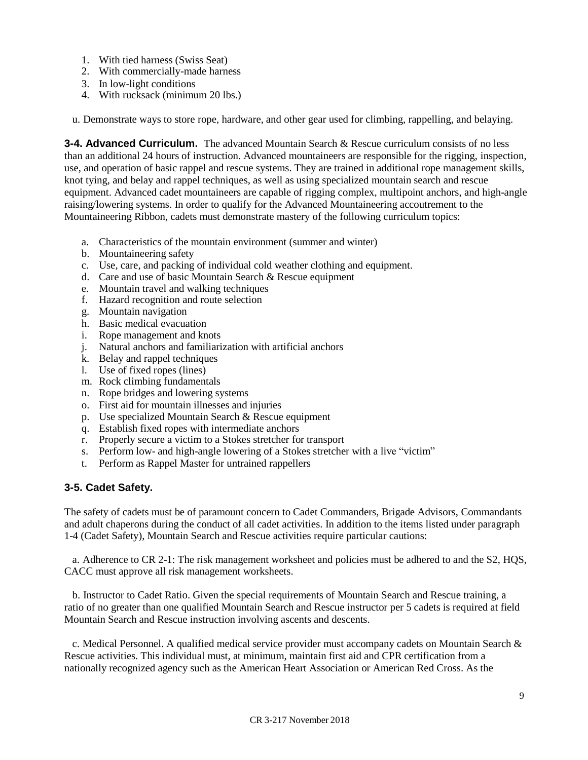- 1. With tied harness (Swiss Seat)
- 2. With commercially-made harness
- 3. In low-light conditions
- 4. With rucksack (minimum 20 lbs.)
- u. Demonstrate ways to store rope, hardware, and other gear used for climbing, rappelling, and belaying.

**3-4. Advanced Curriculum.** The advanced Mountain Search & Rescue curriculum consists of no less than an additional 24 hours of instruction. Advanced mountaineers are responsible for the rigging, inspection, use, and operation of basic rappel and rescue systems. They are trained in additional rope management skills, knot tying, and belay and rappel techniques, as well as using specialized mountain search and rescue equipment. Advanced cadet mountaineers are capable of rigging complex, multipoint anchors, and high-angle raising/lowering systems. In order to qualify for the Advanced Mountaineering accoutrement to the Mountaineering Ribbon, cadets must demonstrate mastery of the following curriculum topics:

- a. Characteristics of the mountain environment (summer and winter)
- b. Mountaineering safety
- c. Use, care, and packing of individual cold weather clothing and equipment.
- d. Care and use of basic Mountain Search & Rescue equipment
- e. Mountain travel and walking techniques
- f. Hazard recognition and route selection
- g. Mountain navigation
- h. Basic medical evacuation
- i. Rope management and knots
- j. Natural anchors and familiarization with artificial anchors
- k. Belay and rappel techniques
- l. Use of fixed ropes (lines)
- m. Rock climbing fundamentals
- n. Rope bridges and lowering systems
- o. First aid for mountain illnesses and injuries
- p. Use specialized Mountain Search & Rescue equipment
- q. Establish fixed ropes with intermediate anchors
- r. Properly secure a victim to a Stokes stretcher for transport
- s. Perform low- and high-angle lowering of a Stokes stretcher with a live "victim"
- t. Perform as Rappel Master for untrained rappellers

#### **3-5. Cadet Safety.**

The safety of cadets must be of paramount concern to Cadet Commanders, Brigade Advisors, Commandants and adult chaperons during the conduct of all cadet activities. In addition to the items listed under paragraph 1-4 (Cadet Safety), Mountain Search and Rescue activities require particular cautions:

a. Adherence to CR 2-1: The risk management worksheet and policies must be adhered to and the S2, HQS, CACC must approve all risk management worksheets.

b. Instructor to Cadet Ratio. Given the special requirements of Mountain Search and Rescue training, a ratio of no greater than one qualified Mountain Search and Rescue instructor per 5 cadets is required at field Mountain Search and Rescue instruction involving ascents and descents.

c. Medical Personnel. A qualified medical service provider must accompany cadets on Mountain Search & Rescue activities. This individual must, at minimum, maintain first aid and CPR certification from a nationally recognized agency such as the American Heart Association or American Red Cross. As the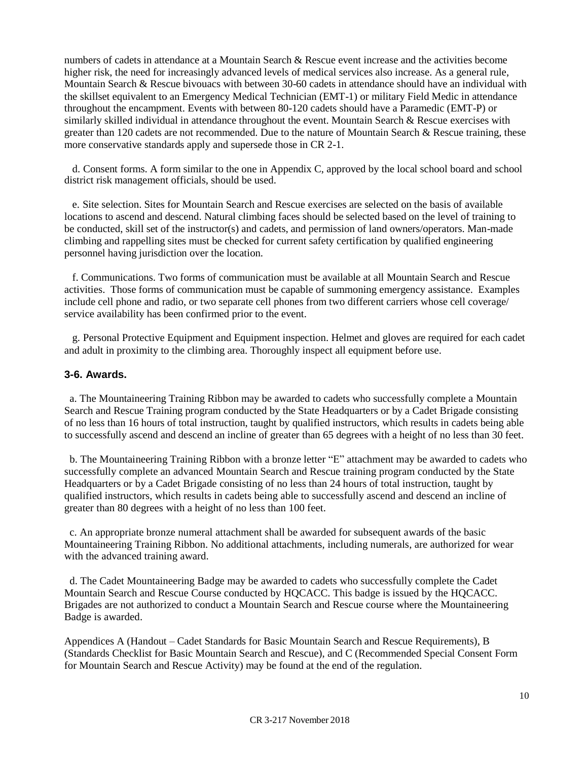numbers of cadets in attendance at a Mountain Search & Rescue event increase and the activities become higher risk, the need for increasingly advanced levels of medical services also increase. As a general rule, Mountain Search & Rescue bivouacs with between 30-60 cadets in attendance should have an individual with the skillset equivalent to an Emergency Medical Technician (EMT-1) or military Field Medic in attendance throughout the encampment. Events with between 80-120 cadets should have a Paramedic (EMT-P) or similarly skilled individual in attendance throughout the event. Mountain Search & Rescue exercises with greater than 120 cadets are not recommended. Due to the nature of Mountain Search & Rescue training, these more conservative standards apply and supersede those in CR 2-1.

d. Consent forms. A form similar to the one in Appendix C, approved by the local school board and school district risk management officials, should be used.

e. Site selection. Sites for Mountain Search and Rescue exercises are selected on the basis of available locations to ascend and descend. Natural climbing faces should be selected based on the level of training to be conducted, skill set of the instructor(s) and cadets, and permission of land owners/operators. Man-made climbing and rappelling sites must be checked for current safety certification by qualified engineering personnel having jurisdiction over the location.

f. Communications. Two forms of communication must be available at all Mountain Search and Rescue activities. Those forms of communication must be capable of summoning emergency assistance. Examples include cell phone and radio, or two separate cell phones from two different carriers whose cell coverage/ service availability has been confirmed prior to the event.

g. Personal Protective Equipment and Equipment inspection. Helmet and gloves are required for each cadet and adult in proximity to the climbing area. Thoroughly inspect all equipment before use.

#### **3-6. Awards.**

a. The Mountaineering Training Ribbon may be awarded to cadets who successfully complete a Mountain Search and Rescue Training program conducted by the State Headquarters or by a Cadet Brigade consisting of no less than 16 hours of total instruction, taught by qualified instructors, which results in cadets being able to successfully ascend and descend an incline of greater than 65 degrees with a height of no less than 30 feet.

b. The Mountaineering Training Ribbon with a bronze letter "E" attachment may be awarded to cadets who successfully complete an advanced Mountain Search and Rescue training program conducted by the State Headquarters or by a Cadet Brigade consisting of no less than 24 hours of total instruction, taught by qualified instructors, which results in cadets being able to successfully ascend and descend an incline of greater than 80 degrees with a height of no less than 100 feet.

c. An appropriate bronze numeral attachment shall be awarded for subsequent awards of the basic Mountaineering Training Ribbon. No additional attachments, including numerals, are authorized for wear with the advanced training award.

d. The Cadet Mountaineering Badge may be awarded to cadets who successfully complete the Cadet Mountain Search and Rescue Course conducted by HQCACC. This badge is issued by the HQCACC. Brigades are not authorized to conduct a Mountain Search and Rescue course where the Mountaineering Badge is awarded.

Appendices A (Handout – Cadet Standards for Basic Mountain Search and Rescue Requirements), B (Standards Checklist for Basic Mountain Search and Rescue), and C (Recommended Special Consent Form for Mountain Search and Rescue Activity) may be found at the end of the regulation.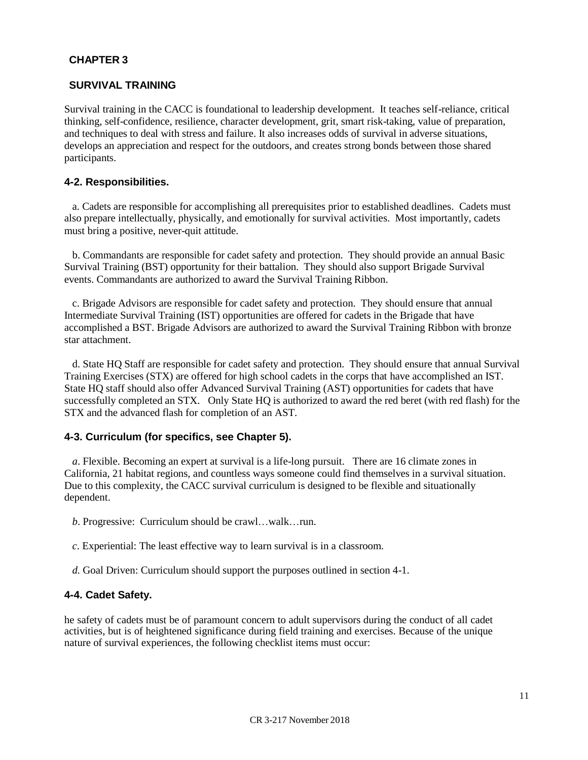## **CHAPTER 3**

#### **SURVIVAL TRAINING**

Survival training in the CACC is foundational to leadership development. It teaches self-reliance, critical thinking, self-confidence, resilience, character development, grit, smart risk-taking, value of preparation, and techniques to deal with stress and failure. It also increases odds of survival in adverse situations, develops an appreciation and respect for the outdoors, and creates strong bonds between those shared participants.

#### **4-2. Responsibilities.**

a. Cadets are responsible for accomplishing all prerequisites prior to established deadlines. Cadets must also prepare intellectually, physically, and emotionally for survival activities. Most importantly, cadets must bring a positive, never-quit attitude.

b. Commandants are responsible for cadet safety and protection. They should provide an annual Basic Survival Training (BST) opportunity for their battalion. They should also support Brigade Survival events. Commandants are authorized to award the Survival Training Ribbon.

c. Brigade Advisors are responsible for cadet safety and protection. They should ensure that annual Intermediate Survival Training (IST) opportunities are offered for cadets in the Brigade that have accomplished a BST. Brigade Advisors are authorized to award the Survival Training Ribbon with bronze star attachment.

d. State HQ Staff are responsible for cadet safety and protection. They should ensure that annual Survival Training Exercises (STX) are offered for high school cadets in the corps that have accomplished an IST. State HQ staff should also offer Advanced Survival Training (AST) opportunities for cadets that have successfully completed an STX. Only State HQ is authorized to award the red beret (with red flash) for the STX and the advanced flash for completion of an AST.

#### **4-3. Curriculum (for specifics, see Chapter 5).**

*a*. Flexible. Becoming an expert at survival is a life-long pursuit. There are 16 climate zones in California, 21 habitat regions, and countless ways someone could find themselves in a survival situation. Due to this complexity, the CACC survival curriculum is designed to be flexible and situationally dependent.

*b*. Progressive: Curriculum should be crawl…walk…run.

- *c*. Experiential: The least effective way to learn survival is in a classroom.
- *d.* Goal Driven: Curriculum should support the purposes outlined in section 4-1.

#### **4-4. Cadet Safety.**

he safety of cadets must be of paramount concern to adult supervisors during the conduct of all cadet activities, but is of heightened significance during field training and exercises. Because of the unique nature of survival experiences, the following checklist items must occur: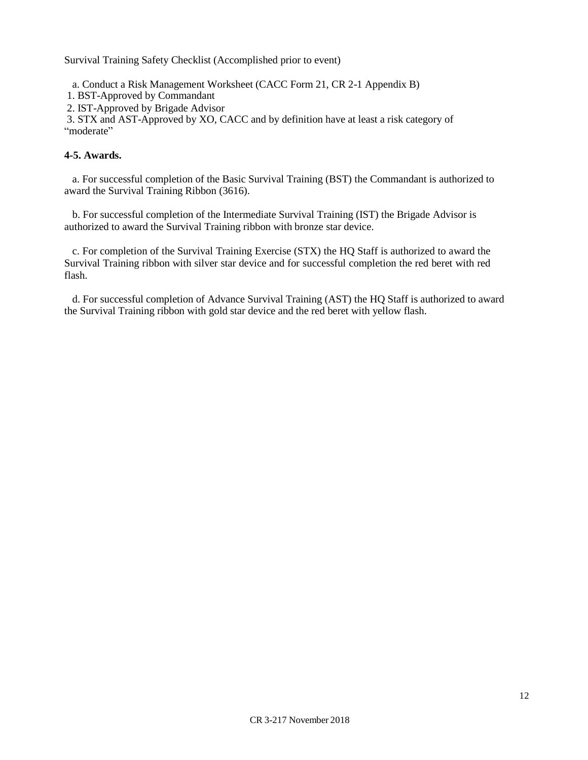Survival Training Safety Checklist (Accomplished prior to event)

a. Conduct a Risk Management Worksheet (CACC Form 21, CR 2-1 Appendix B)

1. BST-Approved by Commandant

2. IST-Approved by Brigade Advisor

3. STX and AST-Approved by XO, CACC and by definition have at least a risk category of "moderate"

#### **4-5. Awards.**

a. For successful completion of the Basic Survival Training (BST) the Commandant is authorized to award the Survival Training Ribbon (3616).

b. For successful completion of the Intermediate Survival Training (IST) the Brigade Advisor is authorized to award the Survival Training ribbon with bronze star device.

c. For completion of the Survival Training Exercise (STX) the HQ Staff is authorized to award the Survival Training ribbon with silver star device and for successful completion the red beret with red flash.

d. For successful completion of Advance Survival Training (AST) the HQ Staff is authorized to award the Survival Training ribbon with gold star device and the red beret with yellow flash.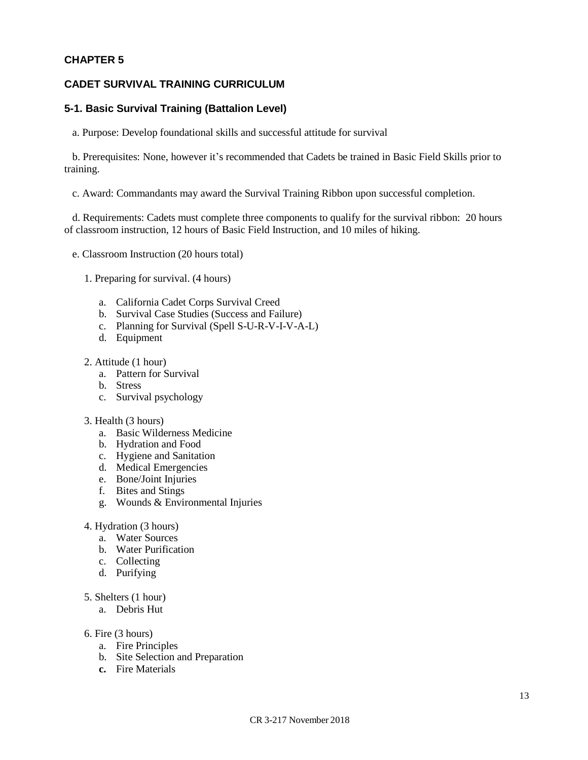#### **CHAPTER 5**

#### **CADET SURVIVAL TRAINING CURRICULUM**

#### **5-1. Basic Survival Training (Battalion Level)**

a. Purpose: Develop foundational skills and successful attitude for survival

b. Prerequisites: None, however it's recommended that Cadets be trained in Basic Field Skills prior to training.

c. Award: Commandants may award the Survival Training Ribbon upon successful completion.

d. Requirements: Cadets must complete three components to qualify for the survival ribbon: 20 hours of classroom instruction, 12 hours of Basic Field Instruction, and 10 miles of hiking.

- e. Classroom Instruction (20 hours total)
	- 1. Preparing for survival. (4 hours)
		- a. California Cadet Corps Survival Creed
		- b. Survival Case Studies (Success and Failure)
		- c. Planning for Survival (Spell S-U-R-V-I-V-A-L)
		- d. Equipment
	- 2. Attitude (1 hour)
		- a. Pattern for Survival
		- b. Stress
		- c. Survival psychology
	- 3. Health (3 hours)
		- a. Basic Wilderness Medicine
		- b. Hydration and Food
		- c. Hygiene and Sanitation
		- d. Medical Emergencies
		- e. Bone/Joint Injuries
		- f. Bites and Stings
		- g. Wounds & Environmental Injuries
	- 4. Hydration (3 hours)
		- a. Water Sources
		- b. Water Purification
		- c. Collecting
		- d. Purifying
	- 5. Shelters (1 hour)
		- a. Debris Hut
	- 6. Fire (3 hours)
		- a. Fire Principles
		- b. Site Selection and Preparation
		- **c.** Fire Materials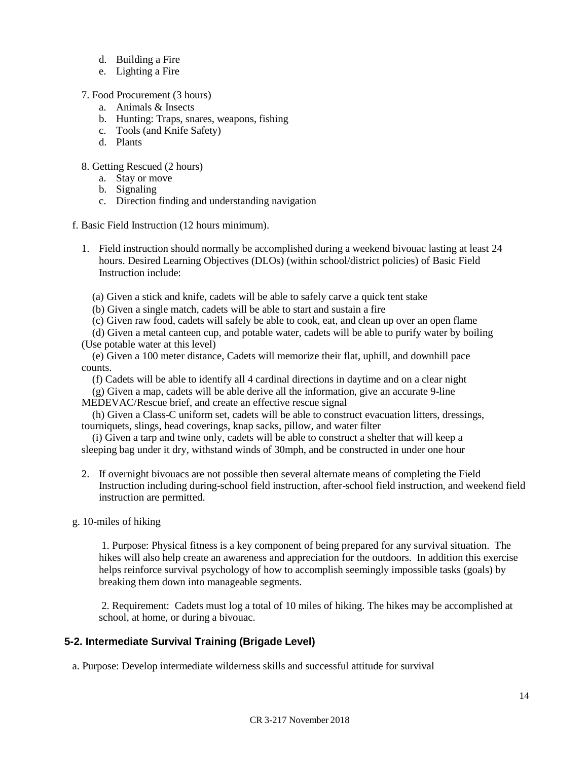- d. Building a Fire
- e. Lighting a Fire
- 7. Food Procurement (3 hours)
	- a. Animals & Insects
	- b. Hunting: Traps, snares, weapons, fishing
	- c. Tools (and Knife Safety)
	- d. Plants
- 8. Getting Rescued (2 hours)
	- a. Stay or move
	- b. Signaling
	- c. Direction finding and understanding navigation
- f. Basic Field Instruction (12 hours minimum).
	- 1. Field instruction should normally be accomplished during a weekend bivouac lasting at least 24 hours. Desired Learning Objectives (DLOs) (within school/district policies) of Basic Field Instruction include:
		- (a) Given a stick and knife, cadets will be able to safely carve a quick tent stake
		- (b) Given a single match, cadets will be able to start and sustain a fire
		- (c) Given raw food, cadets will safely be able to cook, eat, and clean up over an open flame
	- (d) Given a metal canteen cup, and potable water, cadets will be able to purify water by boiling (Use potable water at this level)
	- (e) Given a 100 meter distance, Cadets will memorize their flat, uphill, and downhill pace counts.
		- (f) Cadets will be able to identify all 4 cardinal directions in daytime and on a clear night
	- (g) Given a map, cadets will be able derive all the information, give an accurate 9-line MEDEVAC/Rescue brief, and create an effective rescue signal
	- (h) Given a Class-C uniform set, cadets will be able to construct evacuation litters, dressings, tourniquets, slings, head coverings, knap sacks, pillow, and water filter
	- (i) Given a tarp and twine only, cadets will be able to construct a shelter that will keep a sleeping bag under it dry, withstand winds of 30mph, and be constructed in under one hour
	- 2. If overnight bivouacs are not possible then several alternate means of completing the Field Instruction including during-school field instruction, after-school field instruction, and weekend field instruction are permitted.
- g. 10-miles of hiking

1. Purpose: Physical fitness is a key component of being prepared for any survival situation. The hikes will also help create an awareness and appreciation for the outdoors. In addition this exercise helps reinforce survival psychology of how to accomplish seemingly impossible tasks (goals) by breaking them down into manageable segments.

2. Requirement: Cadets must log a total of 10 miles of hiking. The hikes may be accomplished at school, at home, or during a bivouac.

#### **5-2. Intermediate Survival Training (Brigade Level)**

a. Purpose: Develop intermediate wilderness skills and successful attitude for survival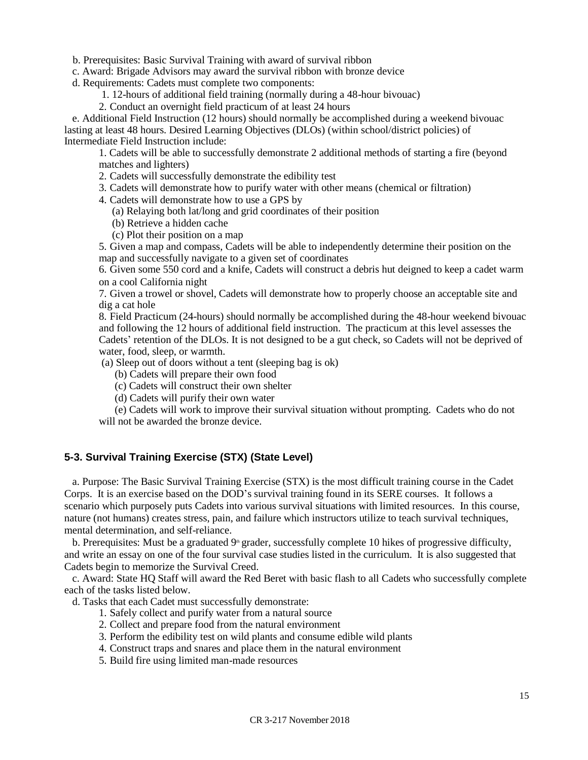b. Prerequisites: Basic Survival Training with award of survival ribbon

c. Award: Brigade Advisors may award the survival ribbon with bronze device

d. Requirements: Cadets must complete two components:

1. 12-hours of additional field training (normally during a 48-hour bivouac)

2. Conduct an overnight field practicum of at least 24 hours

e. Additional Field Instruction (12 hours) should normally be accomplished during a weekend bivouac lasting at least 48 hours. Desired Learning Objectives (DLOs) (within school/district policies) of Intermediate Field Instruction include:

1. Cadets will be able to successfully demonstrate 2 additional methods of starting a fire (beyond matches and lighters)

2. Cadets will successfully demonstrate the edibility test

3. Cadets will demonstrate how to purify water with other means (chemical or filtration)

4. Cadets will demonstrate how to use a GPS by

(a) Relaying both lat/long and grid coordinates of their position

(b) Retrieve a hidden cache

(c) Plot their position on a map

5. Given a map and compass, Cadets will be able to independently determine their position on the map and successfully navigate to a given set of coordinates

6. Given some 550 cord and a knife, Cadets will construct a debris hut deigned to keep a cadet warm on a cool California night

7. Given a trowel or shovel, Cadets will demonstrate how to properly choose an acceptable site and dig a cat hole

8. Field Practicum (24-hours) should normally be accomplished during the 48-hour weekend bivouac and following the 12 hours of additional field instruction. The practicum at this level assesses the Cadets' retention of the DLOs. It is not designed to be a gut check, so Cadets will not be deprived of water, food, sleep, or warmth.

(a) Sleep out of doors without a tent (sleeping bag is ok)

(b) Cadets will prepare their own food

(c) Cadets will construct their own shelter

(d) Cadets will purify their own water

(e) Cadets will work to improve their survival situation without prompting. Cadets who do not will not be awarded the bronze device.

#### **5-3. Survival Training Exercise (STX) (State Level)**

a. Purpose: The Basic Survival Training Exercise (STX) is the most difficult training course in the Cadet Corps. It is an exercise based on the DOD's survival training found in its SERE courses. It follows a scenario which purposely puts Cadets into various survival situations with limited resources. In this course, nature (not humans) creates stress, pain, and failure which instructors utilize to teach survival techniques, mental determination, and self-reliance.

b. Prerequisites: Must be a graduated  $9<sup>th</sup>$  grader, successfully complete 10 hikes of progressive difficulty, and write an essay on one of the four survival case studies listed in the curriculum. It is also suggested that Cadets begin to memorize the Survival Creed.

c. Award: State HQ Staff will award the Red Beret with basic flash to all Cadets who successfully complete each of the tasks listed below.

d. Tasks that each Cadet must successfully demonstrate:

- 1. Safely collect and purify water from a natural source
- 2. Collect and prepare food from the natural environment
- 3. Perform the edibility test on wild plants and consume edible wild plants
- 4. Construct traps and snares and place them in the natural environment
- 5. Build fire using limited man-made resources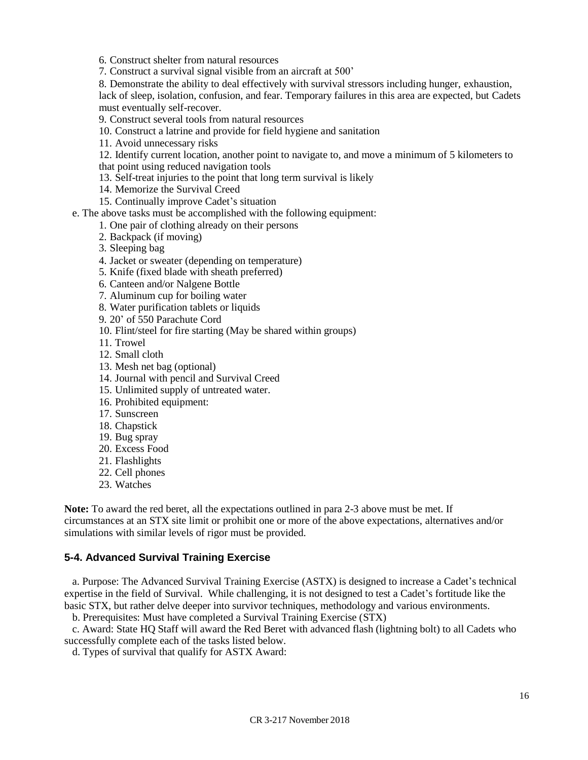6. Construct shelter from natural resources

7. Construct a survival signal visible from an aircraft at 500'

8. Demonstrate the ability to deal effectively with survival stressors including hunger, exhaustion,

lack of sleep, isolation, confusion, and fear. Temporary failures in this area are expected, but Cadets must eventually self-recover.

9. Construct several tools from natural resources

10. Construct a latrine and provide for field hygiene and sanitation

11. Avoid unnecessary risks

12. Identify current location, another point to navigate to, and move a minimum of 5 kilometers to that point using reduced navigation tools

13. Self-treat injuries to the point that long term survival is likely

- 14. Memorize the Survival Creed
- 15. Continually improve Cadet's situation
- e. The above tasks must be accomplished with the following equipment:
	- 1. One pair of clothing already on their persons
	- 2. Backpack (if moving)
	- 3. Sleeping bag
	- 4. Jacket or sweater (depending on temperature)

5. Knife (fixed blade with sheath preferred)

6. Canteen and/or Nalgene Bottle

7. Aluminum cup for boiling water

8. Water purification tablets or liquids

9. 20' of 550 Parachute Cord

10. Flint/steel for fire starting (May be shared within groups)

- 11. Trowel
- 12. Small cloth
- 13. Mesh net bag (optional)
- 14. Journal with pencil and Survival Creed
- 15. Unlimited supply of untreated water.
- 16. Prohibited equipment:
- 17. Sunscreen
- 18. Chapstick
- 19. Bug spray
- 20. Excess Food
- 21. Flashlights
- 22. Cell phones
- 23. Watches

**Note:** To award the red beret, all the expectations outlined in para 2-3 above must be met. If circumstances at an STX site limit or prohibit one or more of the above expectations, alternatives and/or simulations with similar levels of rigor must be provided.

#### **5-4. Advanced Survival Training Exercise**

a. Purpose: The Advanced Survival Training Exercise (ASTX) is designed to increase a Cadet's technical expertise in the field of Survival. While challenging, it is not designed to test a Cadet's fortitude like the basic STX, but rather delve deeper into survivor techniques, methodology and various environments.

b. Prerequisites: Must have completed a Survival Training Exercise (STX)

c. Award: State HQ Staff will award the Red Beret with advanced flash (lightning bolt) to all Cadets who successfully complete each of the tasks listed below.

d. Types of survival that qualify for ASTX Award: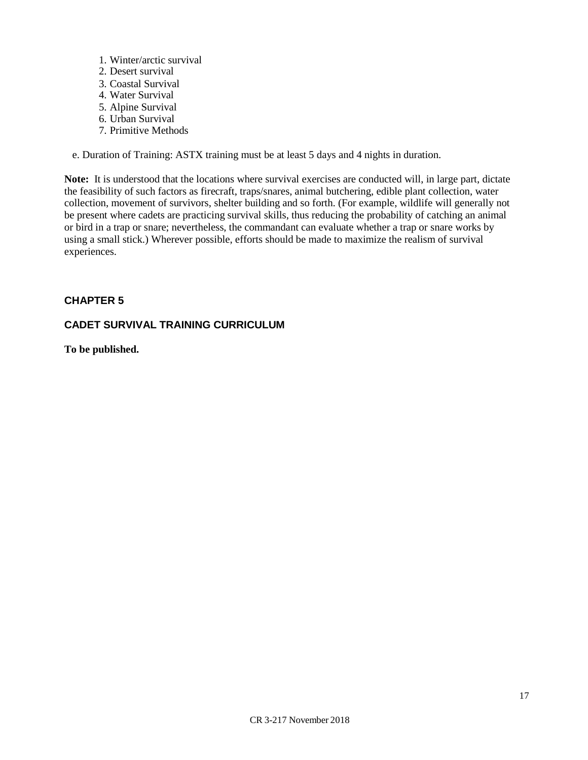- 1. Winter/arctic survival
- 2. Desert survival
- 3. Coastal Survival
- 4. Water Survival
- 5. Alpine Survival
- 6. Urban Survival
- 7. Primitive Methods

e. Duration of Training: ASTX training must be at least 5 days and 4 nights in duration.

**Note:** It is understood that the locations where survival exercises are conducted will, in large part, dictate the feasibility of such factors as firecraft, traps/snares, animal butchering, edible plant collection, water collection, movement of survivors, shelter building and so forth. (For example, wildlife will generally not be present where cadets are practicing survival skills, thus reducing the probability of catching an animal or bird in a trap or snare; nevertheless, the commandant can evaluate whether a trap or snare works by using a small stick.) Wherever possible, efforts should be made to maximize the realism of survival experiences.

## **CHAPTER 5**

## **CADET SURVIVAL TRAINING CURRICULUM**

**To be published.**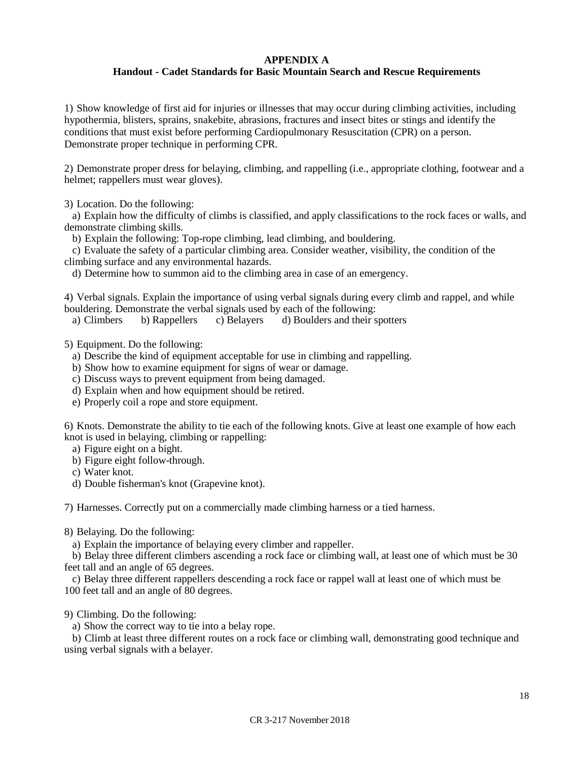#### **APPENDIX A**

#### **Handout - Cadet Standards for Basic Mountain Search and Rescue Requirements**

1) Show knowledge of first aid for injuries or illnesses that may occur during climbing activities, including hypothermia, blisters, sprains, snakebite, abrasions, fractures and insect bites or stings and identify the conditions that must exist before performing Cardiopulmonary Resuscitation (CPR) on a person. Demonstrate proper technique in performing CPR.

2) Demonstrate proper dress for belaying, climbing, and rappelling (i.e., appropriate clothing, footwear and a helmet; rappellers must wear gloves).

3) Location. Do the following:

a) Explain how the difficulty of climbs is classified, and apply classifications to the rock faces or walls, and demonstrate climbing skills.

b) Explain the following: Top-rope climbing, lead climbing, and bouldering.

c) Evaluate the safety of a particular climbing area. Consider weather, visibility, the condition of the climbing surface and any environmental hazards.

d) Determine how to summon aid to the climbing area in case of an emergency.

4) Verbal signals. Explain the importance of using verbal signals during every climb and rappel, and while bouldering. Demonstrate the verbal signals used by each of the following:

a) Climbers b) Rappellers c) Belayers d) Boulders and their spotters

5) Equipment. Do the following:

- a) Describe the kind of equipment acceptable for use in climbing and rappelling.
- b) Show how to examine equipment for signs of wear or damage.
- c) Discuss ways to prevent equipment from being damaged.
- d) Explain when and how equipment should be retired.
- e) Properly coil a rope and store equipment.

6) Knots. Demonstrate the ability to tie each of the following knots. Give at least one example of how each knot is used in belaying, climbing or rappelling:

a) Figure eight on a bight.

- b) Figure eight follow-through.
- c) Water knot.
- d) Double fisherman's knot (Grapevine knot).

7) Harnesses. Correctly put on a commercially made climbing harness or a tied harness.

8) Belaying. Do the following:

a) Explain the importance of belaying every climber and rappeller.

b) Belay three different climbers ascending a rock face or climbing wall, at least one of which must be 30 feet tall and an angle of 65 degrees.

c) Belay three different rappellers descending a rock face or rappel wall at least one of which must be 100 feet tall and an angle of 80 degrees.

- 9) Climbing. Do the following:
	- a) Show the correct way to tie into a belay rope.

b) Climb at least three different routes on a rock face or climbing wall, demonstrating good technique and using verbal signals with a belayer.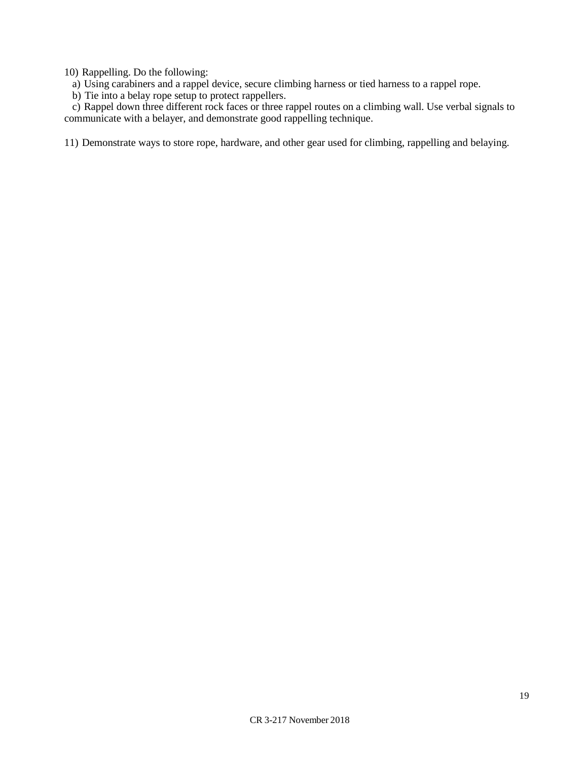10) Rappelling. Do the following:

a) Using carabiners and a rappel device, secure climbing harness or tied harness to a rappel rope.

b) Tie into a belay rope setup to protect rappellers.

c) The line a setal, rope setap to protect rappencies.<br>c) Rappel down three different rock faces or three rappel routes on a climbing wall. Use verbal signals to communicate with a belayer, and demonstrate good rappelling technique.

11) Demonstrate ways to store rope, hardware, and other gear used for climbing, rappelling and belaying.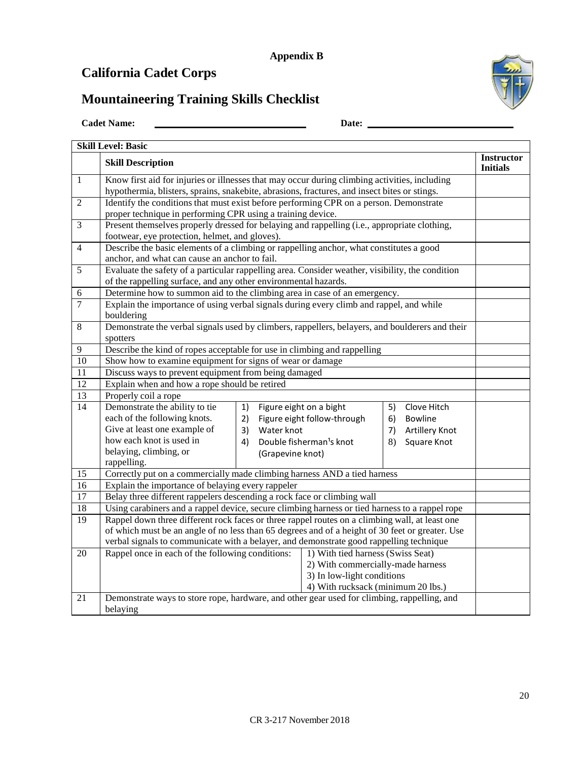# **California Cadet Corps**

# **Mountaineering Training Skills Checklist**



| <b>Instructor</b><br><b>Skill Description</b><br><b>Initials</b><br>Know first aid for injuries or illnesses that may occur during climbing activities, including<br>$\mathbf{1}$<br>hypothermia, blisters, sprains, snakebite, abrasions, fractures, and insect bites or stings.<br>Identify the conditions that must exist before performing CPR on a person. Demonstrate<br>$\overline{2}$<br>proper technique in performing CPR using a training device.<br>Present themselves properly dressed for belaying and rappelling (i.e., appropriate clothing,<br>$\overline{3}$<br>footwear, eye protection, helmet, and gloves).<br>Describe the basic elements of a climbing or rappelling anchor, what constitutes a good<br>$\overline{4}$<br>anchor, and what can cause an anchor to fail.<br>Evaluate the safety of a particular rappelling area. Consider weather, visibility, the condition<br>5<br>of the rappelling surface, and any other environmental hazards.<br>Determine how to summon aid to the climbing area in case of an emergency.<br>$\sqrt{6}$<br>$\overline{7}$<br>Explain the importance of using verbal signals during every climb and rappel, and while<br>bouldering<br>Demonstrate the verbal signals used by climbers, rappellers, belayers, and boulderers and their<br>8<br>spotters<br>Describe the kind of ropes acceptable for use in climbing and rappelling<br>$\overline{9}$ |  |  |  |  |  |
|--------------------------------------------------------------------------------------------------------------------------------------------------------------------------------------------------------------------------------------------------------------------------------------------------------------------------------------------------------------------------------------------------------------------------------------------------------------------------------------------------------------------------------------------------------------------------------------------------------------------------------------------------------------------------------------------------------------------------------------------------------------------------------------------------------------------------------------------------------------------------------------------------------------------------------------------------------------------------------------------------------------------------------------------------------------------------------------------------------------------------------------------------------------------------------------------------------------------------------------------------------------------------------------------------------------------------------------------------------------------------------------------------------------------|--|--|--|--|--|
|                                                                                                                                                                                                                                                                                                                                                                                                                                                                                                                                                                                                                                                                                                                                                                                                                                                                                                                                                                                                                                                                                                                                                                                                                                                                                                                                                                                                                    |  |  |  |  |  |
|                                                                                                                                                                                                                                                                                                                                                                                                                                                                                                                                                                                                                                                                                                                                                                                                                                                                                                                                                                                                                                                                                                                                                                                                                                                                                                                                                                                                                    |  |  |  |  |  |
|                                                                                                                                                                                                                                                                                                                                                                                                                                                                                                                                                                                                                                                                                                                                                                                                                                                                                                                                                                                                                                                                                                                                                                                                                                                                                                                                                                                                                    |  |  |  |  |  |
|                                                                                                                                                                                                                                                                                                                                                                                                                                                                                                                                                                                                                                                                                                                                                                                                                                                                                                                                                                                                                                                                                                                                                                                                                                                                                                                                                                                                                    |  |  |  |  |  |
|                                                                                                                                                                                                                                                                                                                                                                                                                                                                                                                                                                                                                                                                                                                                                                                                                                                                                                                                                                                                                                                                                                                                                                                                                                                                                                                                                                                                                    |  |  |  |  |  |
|                                                                                                                                                                                                                                                                                                                                                                                                                                                                                                                                                                                                                                                                                                                                                                                                                                                                                                                                                                                                                                                                                                                                                                                                                                                                                                                                                                                                                    |  |  |  |  |  |
|                                                                                                                                                                                                                                                                                                                                                                                                                                                                                                                                                                                                                                                                                                                                                                                                                                                                                                                                                                                                                                                                                                                                                                                                                                                                                                                                                                                                                    |  |  |  |  |  |
|                                                                                                                                                                                                                                                                                                                                                                                                                                                                                                                                                                                                                                                                                                                                                                                                                                                                                                                                                                                                                                                                                                                                                                                                                                                                                                                                                                                                                    |  |  |  |  |  |
|                                                                                                                                                                                                                                                                                                                                                                                                                                                                                                                                                                                                                                                                                                                                                                                                                                                                                                                                                                                                                                                                                                                                                                                                                                                                                                                                                                                                                    |  |  |  |  |  |
|                                                                                                                                                                                                                                                                                                                                                                                                                                                                                                                                                                                                                                                                                                                                                                                                                                                                                                                                                                                                                                                                                                                                                                                                                                                                                                                                                                                                                    |  |  |  |  |  |
|                                                                                                                                                                                                                                                                                                                                                                                                                                                                                                                                                                                                                                                                                                                                                                                                                                                                                                                                                                                                                                                                                                                                                                                                                                                                                                                                                                                                                    |  |  |  |  |  |
|                                                                                                                                                                                                                                                                                                                                                                                                                                                                                                                                                                                                                                                                                                                                                                                                                                                                                                                                                                                                                                                                                                                                                                                                                                                                                                                                                                                                                    |  |  |  |  |  |
|                                                                                                                                                                                                                                                                                                                                                                                                                                                                                                                                                                                                                                                                                                                                                                                                                                                                                                                                                                                                                                                                                                                                                                                                                                                                                                                                                                                                                    |  |  |  |  |  |
|                                                                                                                                                                                                                                                                                                                                                                                                                                                                                                                                                                                                                                                                                                                                                                                                                                                                                                                                                                                                                                                                                                                                                                                                                                                                                                                                                                                                                    |  |  |  |  |  |
|                                                                                                                                                                                                                                                                                                                                                                                                                                                                                                                                                                                                                                                                                                                                                                                                                                                                                                                                                                                                                                                                                                                                                                                                                                                                                                                                                                                                                    |  |  |  |  |  |
|                                                                                                                                                                                                                                                                                                                                                                                                                                                                                                                                                                                                                                                                                                                                                                                                                                                                                                                                                                                                                                                                                                                                                                                                                                                                                                                                                                                                                    |  |  |  |  |  |
| Show how to examine equipment for signs of wear or damage<br>$\overline{10}$                                                                                                                                                                                                                                                                                                                                                                                                                                                                                                                                                                                                                                                                                                                                                                                                                                                                                                                                                                                                                                                                                                                                                                                                                                                                                                                                       |  |  |  |  |  |
| $\overline{11}$<br>Discuss ways to prevent equipment from being damaged                                                                                                                                                                                                                                                                                                                                                                                                                                                                                                                                                                                                                                                                                                                                                                                                                                                                                                                                                                                                                                                                                                                                                                                                                                                                                                                                            |  |  |  |  |  |
| 12<br>Explain when and how a rope should be retired                                                                                                                                                                                                                                                                                                                                                                                                                                                                                                                                                                                                                                                                                                                                                                                                                                                                                                                                                                                                                                                                                                                                                                                                                                                                                                                                                                |  |  |  |  |  |
| 13<br>Properly coil a rope                                                                                                                                                                                                                                                                                                                                                                                                                                                                                                                                                                                                                                                                                                                                                                                                                                                                                                                                                                                                                                                                                                                                                                                                                                                                                                                                                                                         |  |  |  |  |  |
| 14<br>Demonstrate the ability to tie<br>Figure eight on a bight<br>1)<br>Clove Hitch<br>5)                                                                                                                                                                                                                                                                                                                                                                                                                                                                                                                                                                                                                                                                                                                                                                                                                                                                                                                                                                                                                                                                                                                                                                                                                                                                                                                         |  |  |  |  |  |
| each of the following knots.<br>Figure eight follow-through<br>2)<br>Bowline<br>6)                                                                                                                                                                                                                                                                                                                                                                                                                                                                                                                                                                                                                                                                                                                                                                                                                                                                                                                                                                                                                                                                                                                                                                                                                                                                                                                                 |  |  |  |  |  |
| Give at least one example of<br>Water knot<br>3)<br>7)<br>Artillery Knot                                                                                                                                                                                                                                                                                                                                                                                                                                                                                                                                                                                                                                                                                                                                                                                                                                                                                                                                                                                                                                                                                                                                                                                                                                                                                                                                           |  |  |  |  |  |
| how each knot is used in<br>Double fisherman <sup>1</sup> s knot<br>4)<br>8)<br>Square Knot                                                                                                                                                                                                                                                                                                                                                                                                                                                                                                                                                                                                                                                                                                                                                                                                                                                                                                                                                                                                                                                                                                                                                                                                                                                                                                                        |  |  |  |  |  |
| belaying, climbing, or<br>(Grapevine knot)                                                                                                                                                                                                                                                                                                                                                                                                                                                                                                                                                                                                                                                                                                                                                                                                                                                                                                                                                                                                                                                                                                                                                                                                                                                                                                                                                                         |  |  |  |  |  |
| rappelling.<br>Correctly put on a commercially made climbing harness AND a tied harness                                                                                                                                                                                                                                                                                                                                                                                                                                                                                                                                                                                                                                                                                                                                                                                                                                                                                                                                                                                                                                                                                                                                                                                                                                                                                                                            |  |  |  |  |  |
| 15<br>16<br>Explain the importance of belaying every rappeler                                                                                                                                                                                                                                                                                                                                                                                                                                                                                                                                                                                                                                                                                                                                                                                                                                                                                                                                                                                                                                                                                                                                                                                                                                                                                                                                                      |  |  |  |  |  |
| 17<br>Belay three different rappelers descending a rock face or climbing wall                                                                                                                                                                                                                                                                                                                                                                                                                                                                                                                                                                                                                                                                                                                                                                                                                                                                                                                                                                                                                                                                                                                                                                                                                                                                                                                                      |  |  |  |  |  |
| Using carabiners and a rappel device, secure climbing harness or tied harness to a rappel rope                                                                                                                                                                                                                                                                                                                                                                                                                                                                                                                                                                                                                                                                                                                                                                                                                                                                                                                                                                                                                                                                                                                                                                                                                                                                                                                     |  |  |  |  |  |
| 18<br>Rappel down three different rock faces or three rappel routes on a climbing wall, at least one<br>19                                                                                                                                                                                                                                                                                                                                                                                                                                                                                                                                                                                                                                                                                                                                                                                                                                                                                                                                                                                                                                                                                                                                                                                                                                                                                                         |  |  |  |  |  |
| of which must be an angle of no less than 65 degrees and of a height of 30 feet or greater. Use                                                                                                                                                                                                                                                                                                                                                                                                                                                                                                                                                                                                                                                                                                                                                                                                                                                                                                                                                                                                                                                                                                                                                                                                                                                                                                                    |  |  |  |  |  |
| verbal signals to communicate with a belayer, and demonstrate good rappelling technique                                                                                                                                                                                                                                                                                                                                                                                                                                                                                                                                                                                                                                                                                                                                                                                                                                                                                                                                                                                                                                                                                                                                                                                                                                                                                                                            |  |  |  |  |  |
| Rappel once in each of the following conditions:<br>1) With tied harness (Swiss Seat)<br>20                                                                                                                                                                                                                                                                                                                                                                                                                                                                                                                                                                                                                                                                                                                                                                                                                                                                                                                                                                                                                                                                                                                                                                                                                                                                                                                        |  |  |  |  |  |
| 2) With commercially-made harness                                                                                                                                                                                                                                                                                                                                                                                                                                                                                                                                                                                                                                                                                                                                                                                                                                                                                                                                                                                                                                                                                                                                                                                                                                                                                                                                                                                  |  |  |  |  |  |
| 3) In low-light conditions                                                                                                                                                                                                                                                                                                                                                                                                                                                                                                                                                                                                                                                                                                                                                                                                                                                                                                                                                                                                                                                                                                                                                                                                                                                                                                                                                                                         |  |  |  |  |  |
| 4) With rucksack (minimum 20 lbs.)                                                                                                                                                                                                                                                                                                                                                                                                                                                                                                                                                                                                                                                                                                                                                                                                                                                                                                                                                                                                                                                                                                                                                                                                                                                                                                                                                                                 |  |  |  |  |  |
| $\overline{21}$<br>Demonstrate ways to store rope, hardware, and other gear used for climbing, rappelling, and                                                                                                                                                                                                                                                                                                                                                                                                                                                                                                                                                                                                                                                                                                                                                                                                                                                                                                                                                                                                                                                                                                                                                                                                                                                                                                     |  |  |  |  |  |
| belaying                                                                                                                                                                                                                                                                                                                                                                                                                                                                                                                                                                                                                                                                                                                                                                                                                                                                                                                                                                                                                                                                                                                                                                                                                                                                                                                                                                                                           |  |  |  |  |  |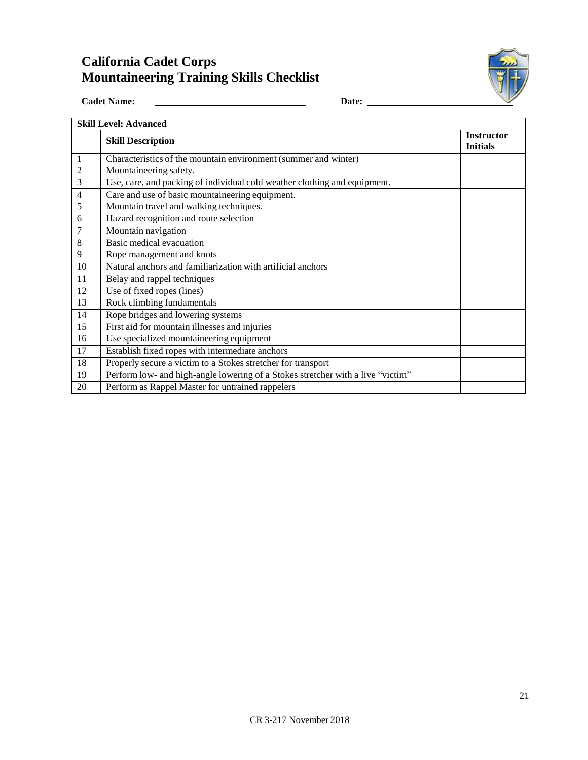# **California Cadet Corps Mountaineering Training Skills Checklist**



Cadet Name: <u>Later and Cadet Name:</u> Date: <u>Date:</u> Date: <u>Date:</u>

| <b>Skill Level: Advanced</b> |                                                                                 |  |  |  |  |  |  |
|------------------------------|---------------------------------------------------------------------------------|--|--|--|--|--|--|
|                              | <b>Skill Description</b>                                                        |  |  |  |  |  |  |
| -1                           | Characteristics of the mountain environment (summer and winter)                 |  |  |  |  |  |  |
| $\overline{2}$               | Mountaineering safety.                                                          |  |  |  |  |  |  |
| 3                            | Use, care, and packing of individual cold weather clothing and equipment.       |  |  |  |  |  |  |
| 4                            | Care and use of basic mountaineering equipment.                                 |  |  |  |  |  |  |
| 5                            | Mountain travel and walking techniques.                                         |  |  |  |  |  |  |
| 6                            | Hazard recognition and route selection                                          |  |  |  |  |  |  |
| 7                            | Mountain navigation                                                             |  |  |  |  |  |  |
| 8                            | Basic medical evacuation                                                        |  |  |  |  |  |  |
| 9                            | Rope management and knots                                                       |  |  |  |  |  |  |
| 10                           | Natural anchors and familiarization with artificial anchors                     |  |  |  |  |  |  |
| 11                           | Belay and rappel techniques                                                     |  |  |  |  |  |  |
| 12                           | Use of fixed ropes (lines)                                                      |  |  |  |  |  |  |
| 13                           | Rock climbing fundamentals                                                      |  |  |  |  |  |  |
| 14                           | Rope bridges and lowering systems                                               |  |  |  |  |  |  |
| 15                           | First aid for mountain illnesses and injuries                                   |  |  |  |  |  |  |
| 16                           | Use specialized mountaineering equipment                                        |  |  |  |  |  |  |
| 17                           | Establish fixed ropes with intermediate anchors                                 |  |  |  |  |  |  |
| 18                           | Properly secure a victim to a Stokes stretcher for transport                    |  |  |  |  |  |  |
| 19                           | Perform low- and high-angle lowering of a Stokes stretcher with a live "victim" |  |  |  |  |  |  |
| 20                           | Perform as Rappel Master for untrained rappelers                                |  |  |  |  |  |  |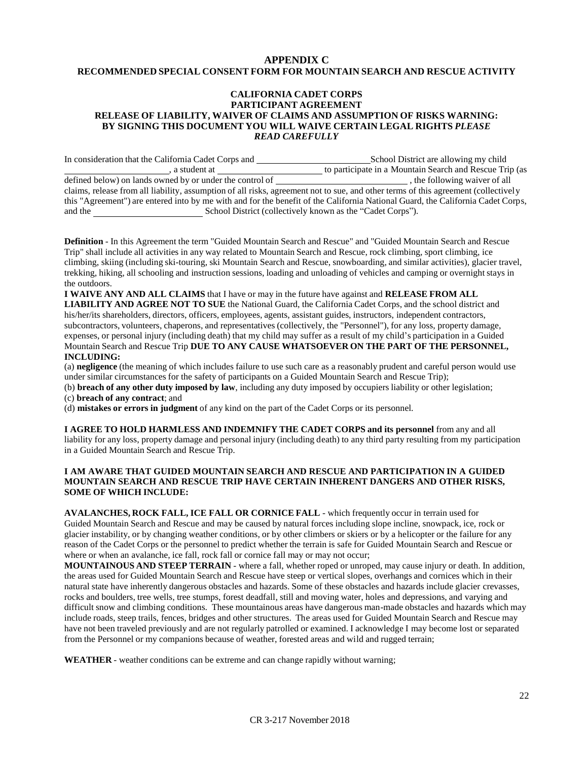#### **APPENDIX C RECOMMENDED SPECIAL CONSENT FORM FOR MOUNTAIN SEARCH AND RESCUE ACTIVITY**

#### **CALIFORNIA CADET CORPS PARTICIPANT AGREEMENT RELEASE OF LIABILITY, WAIVER OF CLAIMS AND ASSUMPTION OF RISKS WARNING: BY SIGNING THIS DOCUMENT YOU WILL WAIVE CERTAIN LEGAL RIGHTS** *PLEASE READ CAREFULLY*

In consideration that the California Cadet Corps and School District are allowing my child <sub>1</sub>, a student at the control of the control of the participate in a Mountain Search and Rescue Trip (as ned by or under the control of the control of the control of the control of the control of the control of the control defined below) on lands owned by or under the control of  $\overline{\phantom{a}}$ claims, release from all liability, assumption of all risks, agreement not to sue, and other terms of this agreement (collectively this "Agreement") are entered into by me with and for the benefit of the California National Guard, the California Cadet Corps, and the School District (collectively known as the "Cadet Corps").

**Definition** - In this Agreement the term "Guided Mountain Search and Rescue" and "Guided Mountain Search and Rescue Trip" shall include all activities in any way related to Mountain Search and Rescue, rock climbing, sport climbing, ice climbing, skiing (including ski-touring, ski Mountain Search and Rescue, snowboarding, and similar activities), glacier travel, trekking, hiking, all schooling and instruction sessions, loading and unloading of vehicles and camping or overnight stays in the outdoors.

**I WAIVE ANY AND ALL CLAIMS** that I have or may in the future have against and **RELEASE FROM ALL LIABILITY AND AGREE NOT TO SUE** the National Guard, the California Cadet Corps, and the school district and his/her/its shareholders, directors, officers, employees, agents, assistant guides, instructors, independent contractors, subcontractors, volunteers, chaperons, and representatives (collectively, the "Personnel"), for any loss, property damage, expenses, or personal injury (including death) that my child may suffer as a result of my child's participation in a Guided Mountain Search and Rescue Trip **DUE TO ANY CAUSE WHATSOEVER ON THE PART OF THE PERSONNEL, INCLUDING:**

(a) **negligence** (the meaning of which includes failure to use such care as a reasonably prudent and careful person would use under similar circumstances for the safety of participants on a Guided Mountain Search and Rescue Trip);

(b) **breach of any other duty imposed by law**, including any duty imposed by occupiers liability or other legislation;

(c) **breach of any contract**; and

(d) **mistakes or errors in judgment** of any kind on the part of the Cadet Corps or its personnel.

**I AGREE TO HOLD HARMLESS AND INDEMNIFY THE CADET CORPS and its personnel** from any and all liability for any loss, property damage and personal injury (including death) to any third party resulting from my participation in a Guided Mountain Search and Rescue Trip.

#### **I AM AWARE THAT GUIDED MOUNTAIN SEARCH AND RESCUE AND PARTICIPATION IN A GUIDED MOUNTAIN SEARCH AND RESCUE TRIP HAVE CERTAIN INHERENT DANGERS AND OTHER RISKS, SOME OF WHICH INCLUDE:**

**AVALANCHES, ROCK FALL, ICE FALL OR CORNICE FALL** - which frequently occur in terrain used for Guided Mountain Search and Rescue and may be caused by natural forces including slope incline, snowpack, ice, rock or glacier instability, or by changing weather conditions, or by other climbers or skiers or by a helicopter or the failure for any reason of the Cadet Corps or the personnel to predict whether the terrain is safe for Guided Mountain Search and Rescue or where or when an avalanche, ice fall, rock fall or cornice fall may or may not occur;

**MOUNTAINOUS AND STEEP TERRAIN** - where a fall, whether roped or unroped, may cause injury or death. In addition, the areas used for Guided Mountain Search and Rescue have steep or vertical slopes, overhangs and cornices which in their natural state have inherently dangerous obstacles and hazards. Some of these obstacles and hazards include glacier crevasses, rocks and boulders, tree wells, tree stumps, forest deadfall, still and moving water, holes and depressions, and varying and difficult snow and climbing conditions. These mountainous areas have dangerous man-made obstacles and hazards which may include roads, steep trails, fences, bridges and other structures. The areas used for Guided Mountain Search and Rescue may have not been traveled previously and are not regularly patrolled or examined. I acknowledge I may become lost or separated from the Personnel or my companions because of weather, forested areas and wild and rugged terrain;

**WEATHER** - weather conditions can be extreme and can change rapidly without warning;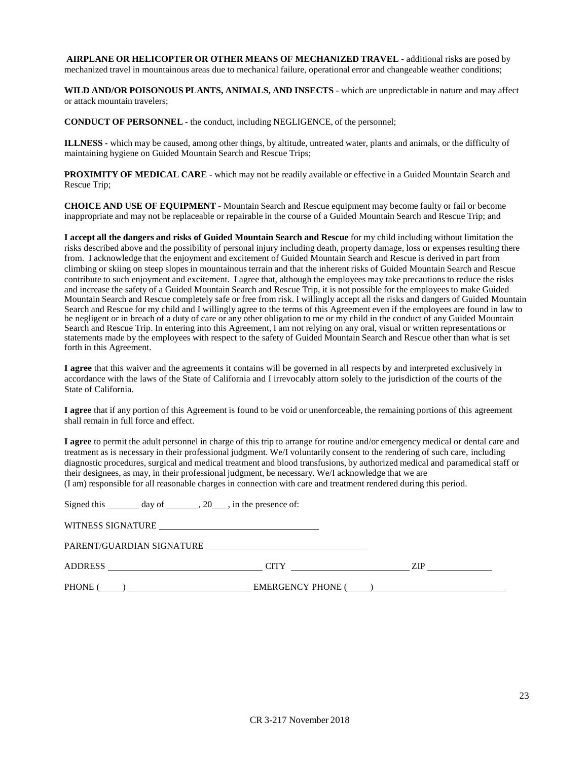**AIRPLANE OR HELICOPTER OR OTHER MEANS OF MECHANIZED TRAVEL** - additional risks are posed by mechanized travel in mountainous areas due to mechanical failure, operational error and changeable weather conditions;

**WILD AND/OR POISONOUS PLANTS, ANIMALS, AND INSECTS** - which are unpredictable in nature and may affect or attack mountain travelers;

**CONDUCT OF PERSONNEL** - the conduct, including NEGLIGENCE, of the personnel;

**ILLNESS** - which may be caused, among other things, by altitude, untreated water, plants and animals, or the difficulty of maintaining hygiene on Guided Mountain Search and Rescue Trips;

**PROXIMITY OF MEDICAL CARE** - which may not be readily available or effective in a Guided Mountain Search and Rescue Trip;

**CHOICE AND USE OF EQUIPMENT** - Mountain Search and Rescue equipment may become faulty or fail or become inappropriate and may not be replaceable or repairable in the course of a Guided Mountain Search and Rescue Trip; and

**I accept all the dangers and risks of Guided Mountain Search and Rescue** for my child including without limitation the risks described above and the possibility of personal injury including death, property damage, loss or expenses resulting there from. I acknowledge that the enjoyment and excitement of Guided Mountain Search and Rescue is derived in part from climbing or skiing on steep slopes in mountainous terrain and that the inherent risks of Guided Mountain Search and Rescue contribute to such enjoyment and excitement. I agree that, although the employees may take precautions to reduce the risks and increase the safety of a Guided Mountain Search and Rescue Trip, it is not possible for the employees to make Guided Mountain Search and Rescue completely safe or free from risk. I willingly accept all the risks and dangers of Guided Mountain Search and Rescue for my child and I willingly agree to the terms of this Agreement even if the employees are found in law to be negligent or in breach of a duty of care or any other obligation to me or my child in the conduct of any Guided Mountain Search and Rescue Trip. In entering into this Agreement, I am not relying on any oral, visual or written representations or statements made by the employees with respect to the safety of Guided Mountain Search and Rescue other than what is set forth in this Agreement.

**I agree** that this waiver and the agreements it contains will be governed in all respects by and interpreted exclusively in accordance with the laws of the State of California and I irrevocably attorn solely to the jurisdiction of the courts of the State of California.

**I agree** that if any portion of this Agreement is found to be void or unenforceable, the remaining portions of this agreement shall remain in full force and effect.

**I agree** to permit the adult personnel in charge of this trip to arrange for routine and/or emergency medical or dental care and treatment as is necessary in their professional judgment. We/I voluntarily consent to the rendering of such care, including diagnostic procedures, surgical and medical treatment and blood transfusions, by authorized medical and paramedical staff or their designees, as may, in their professional judgment, be necessary. We/I acknowledge that we are (I am) responsible for all reasonable charges in connection with care and treatment rendered during this period.

| Signed this ________ day of ________, 20____, in the presence of:           |  |  |
|-----------------------------------------------------------------------------|--|--|
| WITNESS SIGNATURE                                                           |  |  |
|                                                                             |  |  |
| ADDRESS CITY THE TREE CITY CITY TREE TO A REPORT OF THE CITY CITY CITY CITY |  |  |
| $PHONE$ $\qquad \qquad$                                                     |  |  |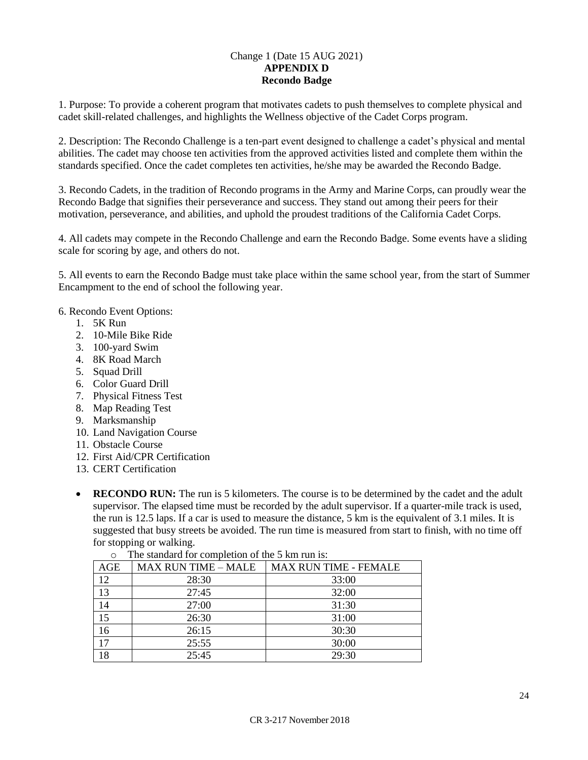#### Change 1 (Date 15 AUG 2021) **APPENDIX D Recondo Badge**

1. Purpose: To provide a coherent program that motivates cadets to push themselves to complete physical and cadet skill-related challenges, and highlights the Wellness objective of the Cadet Corps program.

2. Description: The Recondo Challenge is a ten-part event designed to challenge a cadet's physical and mental abilities. The cadet may choose ten activities from the approved activities listed and complete them within the standards specified. Once the cadet completes ten activities, he/she may be awarded the Recondo Badge.

3. Recondo Cadets, in the tradition of Recondo programs in the Army and Marine Corps, can proudly wear the Recondo Badge that signifies their perseverance and success. They stand out among their peers for their motivation, perseverance, and abilities, and uphold the proudest traditions of the California Cadet Corps.

4. All cadets may compete in the Recondo Challenge and earn the Recondo Badge. Some events have a sliding scale for scoring by age, and others do not.

5. All events to earn the Recondo Badge must take place within the same school year, from the start of Summer Encampment to the end of school the following year.

#### 6. Recondo Event Options:

- 1. 5K Run
- 2. 10-Mile Bike Ride
- 3. 100-yard Swim
- 4. 8K Road March
- 5. Squad Drill
- 6. Color Guard Drill
- 7. Physical Fitness Test
- 8. Map Reading Test
- 9. Marksmanship
- 10. Land Navigation Course
- 11. Obstacle Course
- 12. First Aid/CPR Certification
- 13. CERT Certification
- **RECONDO RUN:** The run is 5 kilometers. The course is to be determined by the cadet and the adult supervisor. The elapsed time must be recorded by the adult supervisor. If a quarter-mile track is used, the run is 12.5 laps. If a car is used to measure the distance, 5 km is the equivalent of 3.1 miles. It is suggested that busy streets be avoided. The run time is measured from start to finish, with no time off for stopping or walking.

| AGE | <b>MAX RUN TIME - MALE</b> | <b>MAX RUN TIME - FEMALE</b> |
|-----|----------------------------|------------------------------|
| 12  | 28:30                      | 33:00                        |
| 13  | 27:45                      | 32:00                        |
| 14  | 27:00                      | 31:30                        |
| 15  | 26:30                      | 31:00                        |
| 16  | 26:15                      | 30:30                        |
| 17  | 25:55                      | 30:00                        |
| 18  | 25:45                      | 29:30                        |

o The standard for completion of the 5 km run is: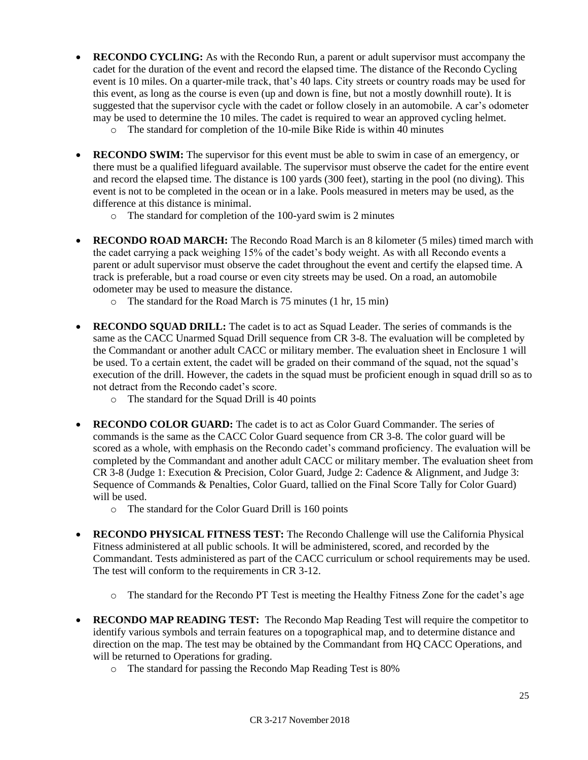- **RECONDO CYCLING:** As with the Recondo Run, a parent or adult supervisor must accompany the cadet for the duration of the event and record the elapsed time. The distance of the Recondo Cycling event is 10 miles. On a quarter-mile track, that's 40 laps. City streets or country roads may be used for this event, as long as the course is even (up and down is fine, but not a mostly downhill route). It is suggested that the supervisor cycle with the cadet or follow closely in an automobile. A car's odometer may be used to determine the 10 miles. The cadet is required to wear an approved cycling helmet.
	- o The standard for completion of the 10-mile Bike Ride is within 40 minutes
- **RECONDO SWIM:** The supervisor for this event must be able to swim in case of an emergency, or there must be a qualified lifeguard available. The supervisor must observe the cadet for the entire event and record the elapsed time. The distance is 100 yards (300 feet), starting in the pool (no diving). This event is not to be completed in the ocean or in a lake. Pools measured in meters may be used, as the difference at this distance is minimal.
	- o The standard for completion of the 100-yard swim is 2 minutes
- **RECONDO ROAD MARCH:** The Recondo Road March is an 8 kilometer (5 miles) timed march with the cadet carrying a pack weighing 15% of the cadet's body weight. As with all Recondo events a parent or adult supervisor must observe the cadet throughout the event and certify the elapsed time. A track is preferable, but a road course or even city streets may be used. On a road, an automobile odometer may be used to measure the distance.
	- o The standard for the Road March is 75 minutes (1 hr, 15 min)
- **RECONDO SQUAD DRILL:** The cadet is to act as Squad Leader. The series of commands is the same as the CACC Unarmed Squad Drill sequence from CR 3-8. The evaluation will be completed by the Commandant or another adult CACC or military member. The evaluation sheet in Enclosure 1 will be used. To a certain extent, the cadet will be graded on their command of the squad, not the squad's execution of the drill. However, the cadets in the squad must be proficient enough in squad drill so as to not detract from the Recondo cadet's score.
	- o The standard for the Squad Drill is 40 points
- **RECONDO COLOR GUARD:** The cadet is to act as Color Guard Commander. The series of commands is the same as the CACC Color Guard sequence from CR 3-8. The color guard will be scored as a whole, with emphasis on the Recondo cadet's command proficiency. The evaluation will be completed by the Commandant and another adult CACC or military member. The evaluation sheet from CR 3-8 (Judge 1: Execution & Precision, Color Guard, Judge 2: Cadence & Alignment, and Judge 3: Sequence of Commands & Penalties, Color Guard, tallied on the Final Score Tally for Color Guard) will be used.
	- o The standard for the Color Guard Drill is 160 points
- **RECONDO PHYSICAL FITNESS TEST:** The Recondo Challenge will use the California Physical Fitness administered at all public schools. It will be administered, scored, and recorded by the Commandant. Tests administered as part of the CACC curriculum or school requirements may be used. The test will conform to the requirements in CR 3-12.
	- o The standard for the Recondo PT Test is meeting the Healthy Fitness Zone for the cadet's age
- **RECONDO MAP READING TEST:** The Recondo Map Reading Test will require the competitor to identify various symbols and terrain features on a topographical map, and to determine distance and direction on the map. The test may be obtained by the Commandant from HQ CACC Operations, and will be returned to Operations for grading.
	- o The standard for passing the Recondo Map Reading Test is 80%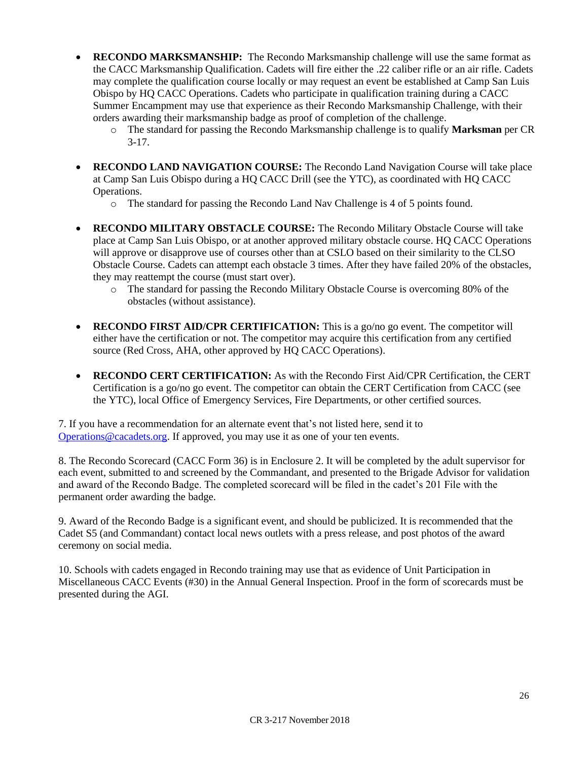- **RECONDO MARKSMANSHIP:** The Recondo Marksmanship challenge will use the same format as the CACC Marksmanship Qualification. Cadets will fire either the .22 caliber rifle or an air rifle. Cadets may complete the qualification course locally or may request an event be established at Camp San Luis Obispo by HQ CACC Operations. Cadets who participate in qualification training during a CACC Summer Encampment may use that experience as their Recondo Marksmanship Challenge, with their orders awarding their marksmanship badge as proof of completion of the challenge.
	- o The standard for passing the Recondo Marksmanship challenge is to qualify **Marksman** per CR  $3-17.$
- **RECONDO LAND NAVIGATION COURSE:** The Recondo Land Navigation Course will take place at Camp San Luis Obispo during a HQ CACC Drill (see the YTC), as coordinated with HQ CACC Operations.
	- o The standard for passing the Recondo Land Nav Challenge is 4 of 5 points found.
- **RECONDO MILITARY OBSTACLE COURSE:** The Recondo Military Obstacle Course will take place at Camp San Luis Obispo, or at another approved military obstacle course. HQ CACC Operations will approve or disapprove use of courses other than at CSLO based on their similarity to the CLSO Obstacle Course. Cadets can attempt each obstacle 3 times. After they have failed 20% of the obstacles, they may reattempt the course (must start over).
	- o The standard for passing the Recondo Military Obstacle Course is overcoming 80% of the obstacles (without assistance).
- **RECONDO FIRST AID/CPR CERTIFICATION:** This is a go/no go event. The competitor will either have the certification or not. The competitor may acquire this certification from any certified source (Red Cross, AHA, other approved by HQ CACC Operations).
- **RECONDO CERT CERTIFICATION:** As with the Recondo First Aid/CPR Certification, the CERT Certification is a go/no go event. The competitor can obtain the CERT Certification from CACC (see the YTC), local Office of Emergency Services, Fire Departments, or other certified sources.

7. If you have a recommendation for an alternate event that's not listed here, send it to [Operations@cacadets.org.](mailto:Operations@cacadets.org) If approved, you may use it as one of your ten events.

8. The Recondo Scorecard (CACC Form 36) is in Enclosure 2. It will be completed by the adult supervisor for each event, submitted to and screened by the Commandant, and presented to the Brigade Advisor for validation and award of the Recondo Badge. The completed scorecard will be filed in the cadet's 201 File with the permanent order awarding the badge.

9. Award of the Recondo Badge is a significant event, and should be publicized. It is recommended that the Cadet S5 (and Commandant) contact local news outlets with a press release, and post photos of the award ceremony on social media.

10. Schools with cadets engaged in Recondo training may use that as evidence of Unit Participation in Miscellaneous CACC Events (#30) in the Annual General Inspection. Proof in the form of scorecards must be presented during the AGI.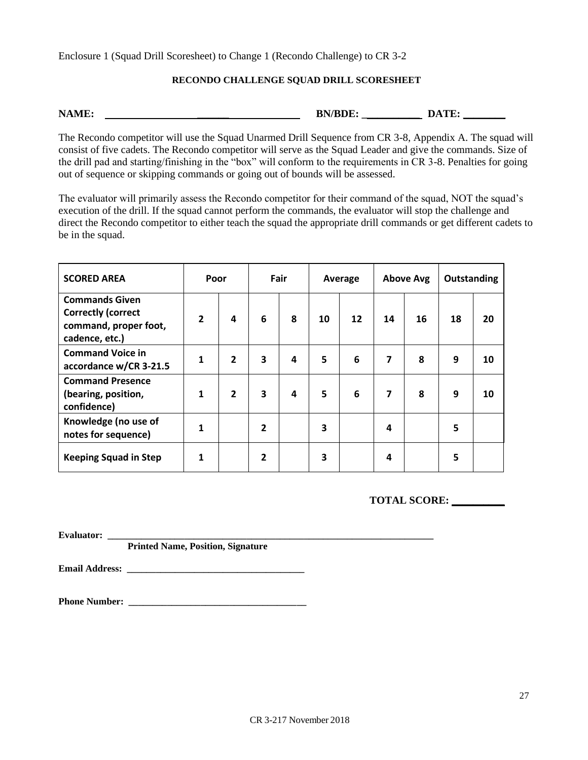Enclosure 1 (Squad Drill Scoresheet) to Change 1 (Recondo Challenge) to CR 3-2

#### **RECONDO CHALLENGE SQUAD DRILL SCORESHEET**

| <b>NAME</b><br>. <i>.</i> | RN/RDF<br>$-11.7 - 12.7$ | mr |
|---------------------------|--------------------------|----|
|---------------------------|--------------------------|----|

The Recondo competitor will use the Squad Unarmed Drill Sequence from CR 3-8, Appendix A. The squad will consist of five cadets. The Recondo competitor will serve as the Squad Leader and give the commands. Size of the drill pad and starting/finishing in the "box" will conform to the requirements in CR 3-8. Penalties for going out of sequence or skipping commands or going out of bounds will be assessed.

The evaluator will primarily assess the Recondo competitor for their command of the squad, NOT the squad's execution of the drill. If the squad cannot perform the commands, the evaluator will stop the challenge and direct the Recondo competitor to either teach the squad the appropriate drill commands or get different cadets to be in the squad.

| <b>SCORED AREA</b>                                                                            | Poor           |                |   | Fair |    | Average |                         | <b>Above Avg</b> | Outstanding |    |
|-----------------------------------------------------------------------------------------------|----------------|----------------|---|------|----|---------|-------------------------|------------------|-------------|----|
| <b>Commands Given</b><br><b>Correctly (correct</b><br>command, proper foot,<br>cadence, etc.) | $\overline{2}$ | 4              | 6 | 8    | 10 | 12      | 14                      | 16               | 18          | 20 |
| <b>Command Voice in</b><br>accordance w/CR 3-21.5                                             | 1              | $\overline{2}$ | 3 | 4    | 5  | 6       | $\overline{\mathbf{z}}$ | 8                | 9           | 10 |
| <b>Command Presence</b><br>(bearing, position,<br>confidence)                                 | 1              | $\overline{2}$ | 3 | 4    | 5  | 6       | 7                       | 8                | 9           | 10 |
| Knowledge (no use of<br>notes for sequence)                                                   | 1              |                | 2 |      | 3  |         | 4                       |                  | 5           |    |
| <b>Keeping Squad in Step</b>                                                                  | 1              |                | 2 |      | 3  |         | 4                       |                  | 5           |    |

**TOTAL SCORE: \_\_\_\_\_\_\_\_\_\_** 

**Evaluator: \_\_\_\_\_\_\_\_\_\_\_\_\_\_\_\_\_\_\_\_\_\_\_\_\_\_\_\_\_\_\_\_\_\_\_\_\_\_\_\_\_\_\_\_\_\_\_\_\_\_\_\_\_\_\_\_\_\_\_\_\_\_\_\_\_\_\_\_**

**Printed Name, Position, Signature**

**Email Address: \_\_\_\_\_\_\_\_\_\_\_\_\_\_\_\_\_\_\_\_\_\_\_\_\_\_\_\_\_\_\_\_\_\_\_\_\_**

**Phone Number: \_\_\_\_\_\_\_\_\_\_\_\_\_\_\_\_\_\_\_\_\_\_\_\_\_\_\_\_\_\_\_\_\_\_\_\_\_**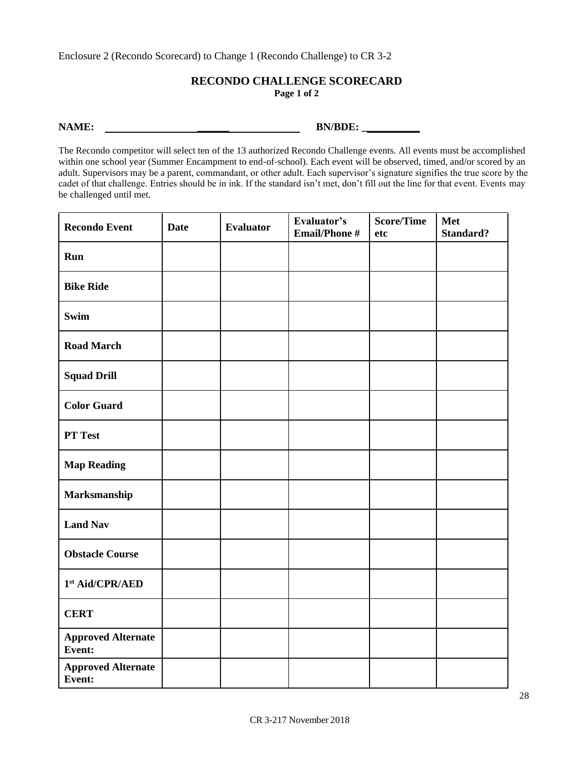Enclosure 2 (Recondo Scorecard) to Change 1 (Recondo Challenge) to CR 3-2

#### **RECONDO CHALLENGE SCORECARD Page 1 of 2**

**NAME: \_\_\_\_\_\_ BN/BDE: \_\_\_\_\_\_\_\_\_\_\_** 

The Recondo competitor will select ten of the 13 authorized Recondo Challenge events. All events must be accomplished within one school year (Summer Encampment to end-of-school). Each event will be observed, timed, and/or scored by an adult. Supervisors may be a parent, commandant, or other adult. Each supervisor's signature signifies the true score by the cadet of that challenge. Entries should be in ink. If the standard isn't met, don't fill out the line for that event. Events may be challenged until met.

| <b>Recondo Event</b>                | <b>Date</b> | <b>Evaluator</b> | Evaluator's<br><b>Email/Phone#</b> | <b>Score/Time</b><br>etc | Met<br><b>Standard?</b> |
|-------------------------------------|-------------|------------------|------------------------------------|--------------------------|-------------------------|
| Run                                 |             |                  |                                    |                          |                         |
| <b>Bike Ride</b>                    |             |                  |                                    |                          |                         |
| <b>Swim</b>                         |             |                  |                                    |                          |                         |
| <b>Road March</b>                   |             |                  |                                    |                          |                         |
| <b>Squad Drill</b>                  |             |                  |                                    |                          |                         |
| <b>Color Guard</b>                  |             |                  |                                    |                          |                         |
| PT Test                             |             |                  |                                    |                          |                         |
| <b>Map Reading</b>                  |             |                  |                                    |                          |                         |
| Marksmanship                        |             |                  |                                    |                          |                         |
| <b>Land Nav</b>                     |             |                  |                                    |                          |                         |
| <b>Obstacle Course</b>              |             |                  |                                    |                          |                         |
| $1st$ Aid/CPR/AED                   |             |                  |                                    |                          |                         |
| <b>CERT</b>                         |             |                  |                                    |                          |                         |
| <b>Approved Alternate</b><br>Event: |             |                  |                                    |                          |                         |
| <b>Approved Alternate</b><br>Event: |             |                  |                                    |                          |                         |